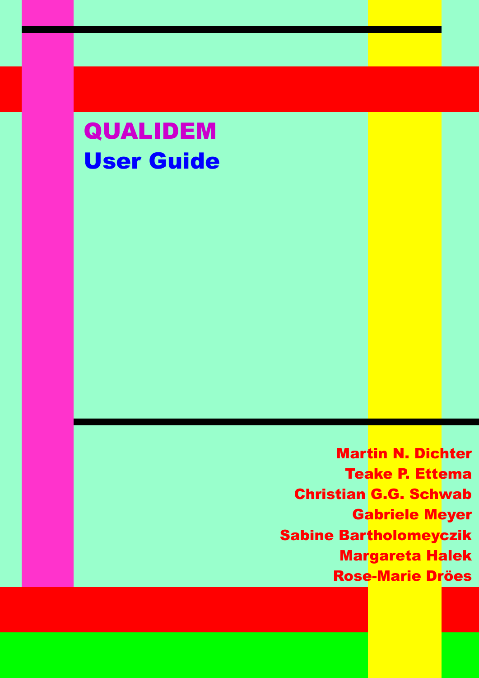# QUALIDEM User Guide

Martin N. Dichter Teake P. Ettema Christian G.G. Schwab Gabriele Meyer Sabine Bartholomeyczik Margareta Halek Rose-Marie Dröes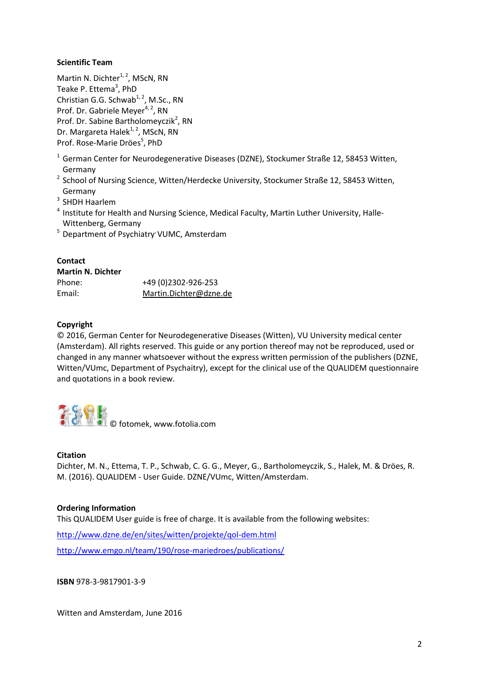#### **Scientific Team**

Martin N. Dichter $1, 2$ , MScN, RN Teake P. Ettema<sup>3</sup>, PhD Christian G.G. Schwab<sup>1, 2</sup>, M.Sc., RN Prof. Dr. Gabriele Meyer $4, 2$ , RN Prof. Dr. Sabine Bartholomeyczik<sup>2</sup>, RN Dr. Margareta Halek<sup>1, 2</sup>, MScN, RN Prof. Rose-Marie Dröes<sup>5</sup>, PhD

- <sup>1</sup> German Center for Neurodegenerative Diseases (DZNE), Stockumer Straße 12, 58453 Witten, Germany
- <sup>2</sup> School of Nursing Science, Witten/Herdecke University, Stockumer Straße 12, 58453 Witten, Germany
- 3 SHDH Haarlem
- <sup>4</sup> Institute for Health and Nursing Science, Medical Faculty, Martin Luther University, Halle-Wittenberg, Germany
- <sup>5</sup> Department of Psychiatry VUMC, Amsterdam

#### **Contact**

| <b>Martin N. Dichter</b> |                        |
|--------------------------|------------------------|
| Phone:                   | +49 (0) 2302-926-253   |
| Email:                   | Martin.Dichter@dzne.de |

#### **Copyright**

© 2016, German Center for Neurodegenerative Diseases (Witten), VU University medical center (Amsterdam). All rights reserved. This guide or any portion thereof may not be reproduced, used or changed in any manner whatsoever without the express written permission of the publishers (DZNE, Witten/VUmc, Department of Psychaitry), except for the clinical use of the QUALIDEM questionnaire and quotations in a book review.



#### **Citation**

Dichter, M. N., Ettema, T. P., Schwab, C. G. G., Meyer, G., Bartholomeyczik, S., Halek, M. & Dröes, R. M. (2016). QUALIDEM - User Guide. DZNE/VUmc, Witten/Amsterdam.

#### **Ordering Information**

This QUALIDEM User guide is free of charge. It is available from the following websites:

<http://www.dzne.de/en/sites/witten/projekte/qol-dem.html>

<http://www.emgo.nl/team/190/rose-mariedroes/publications/>

**ISBN** 978-3-9817901-3-9

Witten and Amsterdam, June 2016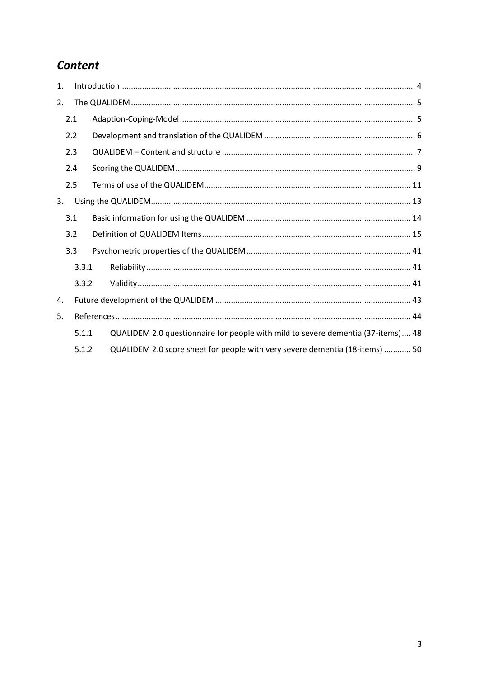# Content

| $\mathbf{1}$ . |     |       |                                                                                  |  |
|----------------|-----|-------|----------------------------------------------------------------------------------|--|
| 2.             |     |       |                                                                                  |  |
|                | 2.1 |       |                                                                                  |  |
|                | 2.2 |       |                                                                                  |  |
|                | 2.3 |       |                                                                                  |  |
|                | 2.4 |       |                                                                                  |  |
|                | 2.5 |       |                                                                                  |  |
| 3.             |     |       |                                                                                  |  |
|                | 3.1 |       |                                                                                  |  |
|                | 3.2 |       |                                                                                  |  |
|                | 3.3 |       |                                                                                  |  |
|                |     | 3.3.1 |                                                                                  |  |
|                |     | 3.3.2 |                                                                                  |  |
| 4.             |     |       |                                                                                  |  |
| 5.             |     |       |                                                                                  |  |
|                |     | 5.1.1 | QUALIDEM 2.0 questionnaire for people with mild to severe dementia (37-items) 48 |  |
|                |     | 5.1.2 | QUALIDEM 2.0 score sheet for people with very severe dementia (18-items)  50     |  |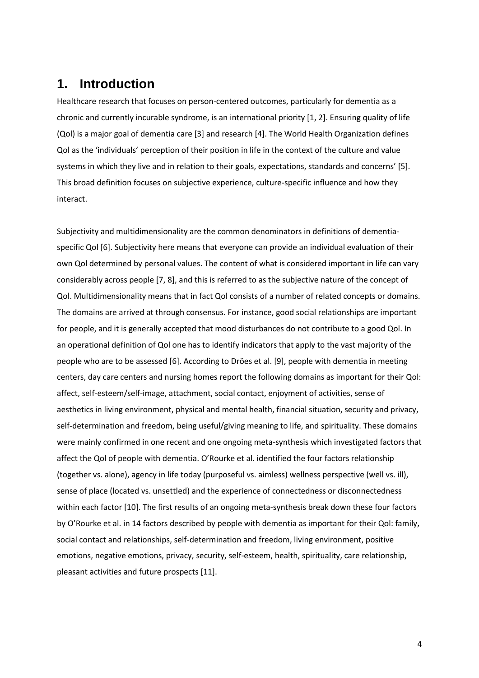# <span id="page-3-0"></span>**1. Introduction**

Healthcare research that focuses on person-centered outcomes, particularly for dementia as a chronic and currently incurable syndrome, is an international priority [\[1,](#page-43-1) [2\]](#page-43-2). Ensuring quality of life (Qol) is a major goal of dementia care [\[3\]](#page-43-3) and research [\[4\]](#page-43-4). The World Health Organization defines Qol as the 'individuals' perception of their position in life in the context of the culture and value systems in which they live and in relation to their goals, expectations, standards and concerns' [\[5\]](#page-43-5). This broad definition focuses on subjective experience, culture-specific influence and how they interact.

Subjectivity and multidimensionality are the common denominators in definitions of dementiaspecific Qol [\[6\]](#page-43-6). Subjectivity here means that everyone can provide an individual evaluation of their own Qol determined by personal values. The content of what is considered important in life can vary considerably across people [\[7,](#page-43-7) [8\]](#page-43-8), and this is referred to as the subjective nature of the concept of Qol. Multidimensionality means that in fact Qol consists of a number of related concepts or domains. The domains are arrived at through consensus. For instance, good social relationships are important for people, and it is generally accepted that mood disturbances do not contribute to a good Qol. In an operational definition of Qol one has to identify indicators that apply to the vast majority of the people who are to be assessed [\[6\]](#page-43-6). According to Dröes et al. [\[9\]](#page-43-9), people with dementia in meeting centers, day care centers and nursing homes report the following domains as important for their Qol: affect, self-esteem/self-image, attachment, social contact, enjoyment of activities, sense of aesthetics in living environment, physical and mental health, financial situation, security and privacy, self-determination and freedom, being useful/giving meaning to life, and spirituality. These domains were mainly confirmed in one recent and one ongoing meta-synthesis which investigated factors that affect the Qol of people with dementia. O'Rourke et al. identified the four factors relationship (together vs. alone), agency in life today (purposeful vs. aimless) wellness perspective (well vs. ill), sense of place (located vs. unsettled) and the experience of connectedness or disconnectedness within each factor [\[10\]](#page-43-10). The first results of an ongoing meta-synthesis break down these four factors by O'Rourke et al. in 14 factors described by people with dementia as important for their Qol: family, social contact and relationships, self-determination and freedom, living environment, positive emotions, negative emotions, privacy, security, self-esteem, health, spirituality, care relationship, pleasant activities and future prospects [\[11\]](#page-43-11).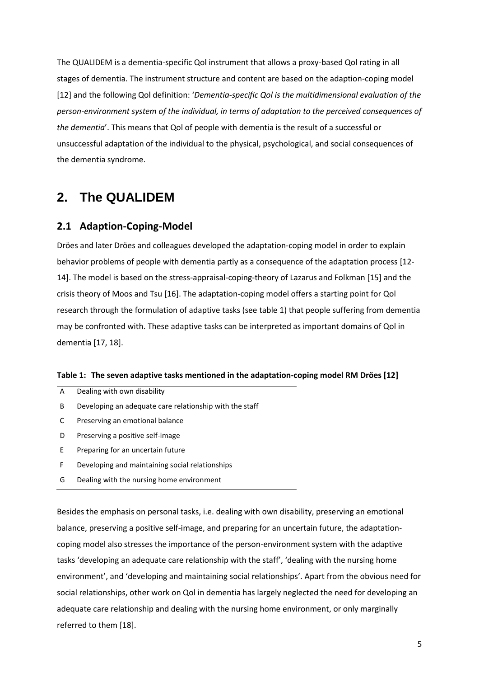The QUALIDEM is a dementia-specific Qol instrument that allows a proxy-based Qol rating in all stages of dementia. The instrument structure and content are based on the adaption-coping model [\[12\]](#page-43-12) and the following Qol definition: '*Dementia-specific Qol is the multidimensional evaluation of the person-environment system of the individual, in terms of adaptation to the perceived consequences of the dementia*'. This means that Qol of people with dementia is the result of a successful or unsuccessful adaptation of the individual to the physical, psychological, and social consequences of the dementia syndrome.

# <span id="page-4-0"></span>**2. The QUALIDEM**

### <span id="page-4-1"></span>**2.1 Adaption-Coping-Model**

Dröes and later Dröes and colleagues developed the adaptation-coping model in order to explain behavior problems of people with dementia partly as a consequence of the adaptation process [\[12-](#page-43-12) [14\]](#page-43-12). The model is based on the stress-appraisal-coping-theory of [Lazarus and Folkman \[15\]](#page-44-0) and the crisis theory of [Moos and Tsu \[16\]](#page-44-1). The adaptation-coping model offers a starting point for Qol research through the formulation of adaptive tasks (see table 1) that people suffering from dementia may be confronted with. These adaptive tasks can be interpreted as important domains of Qol in dementia [\[17,](#page-44-2) [18\]](#page-44-3).

#### **Table 1: The seven adaptive tasks mentioned in the adaptation-coping model [RM Dröes \[12\]](#page-43-12)**

| A | Dealing with own disability                             |
|---|---------------------------------------------------------|
| B | Developing an adequate care relationship with the staff |
|   | Preserving an emotional balance                         |
| D | Preserving a positive self-image                        |
| F | Preparing for an uncertain future                       |
| F | Developing and maintaining social relationships         |

G Dealing with the nursing home environment

Besides the emphasis on personal tasks, i.e. dealing with own disability, preserving an emotional balance, preserving a positive self-image, and preparing for an uncertain future, the adaptationcoping model also stresses the importance of the person-environment system with the adaptive tasks 'developing an adequate care relationship with the staff', 'dealing with the nursing home environment', and 'developing and maintaining social relationships'. Apart from the obvious need for social relationships, other work on Qol in dementia has largely neglected the need for developing an adequate care relationship and dealing with the nursing home environment, or only marginally referred to them [\[18\]](#page-44-3).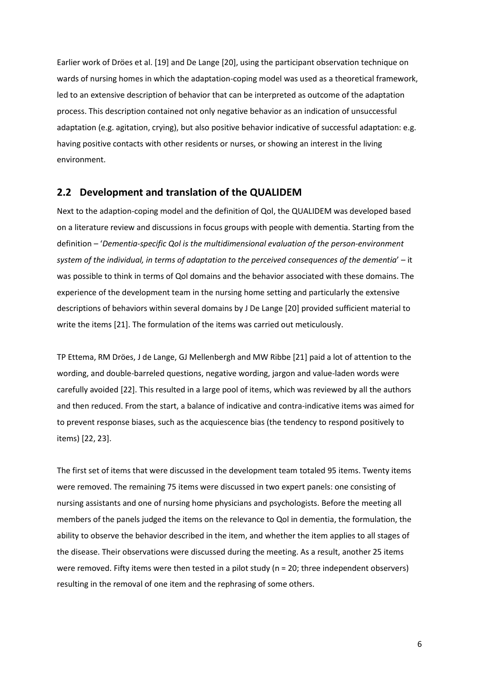Earlier work of Dröes et al. [\[19\]](#page-44-4) and De Lange [\[20\]](#page-44-5), using the participant observation technique on wards of nursing homes in which the adaptation-coping model was used as a theoretical framework, led to an extensive description of behavior that can be interpreted as outcome of the adaptation process. This description contained not only negative behavior as an indication of unsuccessful adaptation (e.g. agitation, crying), but also positive behavior indicative of successful adaptation: e.g. having positive contacts with other residents or nurses, or showing an interest in the living environment.

#### <span id="page-5-0"></span>**2.2 Development and translation of the QUALIDEM**

Next to the adaption-coping model and the definition of Qol, the QUALIDEM was developed based on a literature review and discussions in focus groups with people with dementia. Starting from the definition – '*Dementia-specific Qol is the multidimensional evaluation of the person-environment system of the individual, in terms of adaptation to the perceived consequences of the dementia*' – it was possible to think in terms of Qol domains and the behavior associated with these domains. The experience of the development team in the nursing home setting and particularly the extensive descriptions of behaviors within several domains by [J De Lange \[20\]](#page-44-5) provided sufficient material to write the items [\[21\]](#page-44-6). The formulation of the items was carried out meticulously.

[TP Ettema, RM Dröes, J de Lange, GJ Mellenbergh and MW Ribbe \[21\]](#page-44-6) paid a lot of attention to the wording, and double-barreled questions, negative wording, jargon and value-laden words were carefully avoided [\[22\]](#page-44-7). This resulted in a large pool of items, which was reviewed by all the authors and then reduced. From the start, a balance of indicative and contra-indicative items was aimed for to prevent response biases, such as the acquiescence bias (the tendency to respond positively to items) [\[22,](#page-44-7) [23\]](#page-44-8).

The first set of items that were discussed in the development team totaled 95 items. Twenty items were removed. The remaining 75 items were discussed in two expert panels: one consisting of nursing assistants and one of nursing home physicians and psychologists. Before the meeting all members of the panels judged the items on the relevance to Qol in dementia, the formulation, the ability to observe the behavior described in the item, and whether the item applies to all stages of the disease. Their observations were discussed during the meeting. As a result, another 25 items were removed. Fifty items were then tested in a pilot study (n = 20; three independent observers) resulting in the removal of one item and the rephrasing of some others.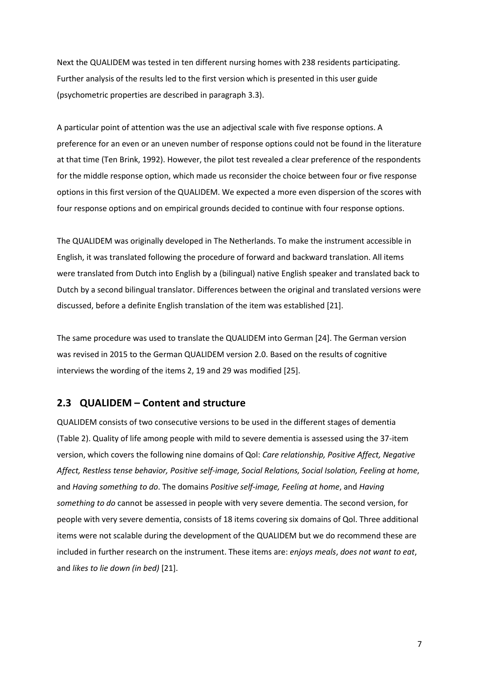Next the QUALIDEM was tested in ten different nursing homes with 238 residents participating. Further analysis of the results led to the first version which is presented in this user guide (psychometric properties are described in paragraph 3.3).

A particular point of attention was the use an adjectival scale with five response options. A preference for an even or an uneven number of response options could not be found in the literature at that time (Ten Brink, 1992). However, the pilot test revealed a clear preference of the respondents for the middle response option, which made us reconsider the choice between four or five response options in this first version of the QUALIDEM. We expected a more even dispersion of the scores with four response options and on empirical grounds decided to continue with four response options.

The QUALIDEM was originally developed in The Netherlands. To make the instrument accessible in English, it was translated following the procedure of forward and backward translation. All items were translated from Dutch into English by a (bilingual) native English speaker and translated back to Dutch by a second bilingual translator. Differences between the original and translated versions were discussed, before a definite English translation of the item was established [\[21\]](#page-44-6).

The same procedure was used to translate the QUALIDEM into German [\[24\]](#page-44-9). The German version was revised in 2015 to the German QUALIDEM version 2.0. Based on the results of cognitive interviews the wording of the items 2, 19 and 29 was modified [\[25\]](#page-44-10).

### <span id="page-6-0"></span>**2.3 QUALIDEM – Content and structure**

QUALIDEM consists of two consecutive versions to be used in the different stages of dementia (Table 2). Quality of life among people with mild to severe dementia is assessed using the 37-item version, which covers the following nine domains of Qol: *Care relationship, Positive Affect, Negative Affect, Restless tense behavior, Positive self-image, Social Relations, Social Isolation, Feeling at home*, and *Having something to do*. The domains *Positive self-image, Feeling at home*, and *Having something to do* cannot be assessed in people with very severe dementia. The second version, for people with very severe dementia, consists of 18 items covering six domains of Qol. Three additional items were not scalable during the development of the QUALIDEM but we do recommend these are included in further research on the instrument. These items are: *enjoys meals*, *does not want to eat*, and *likes to lie down (in bed)* [\[21\]](#page-44-6).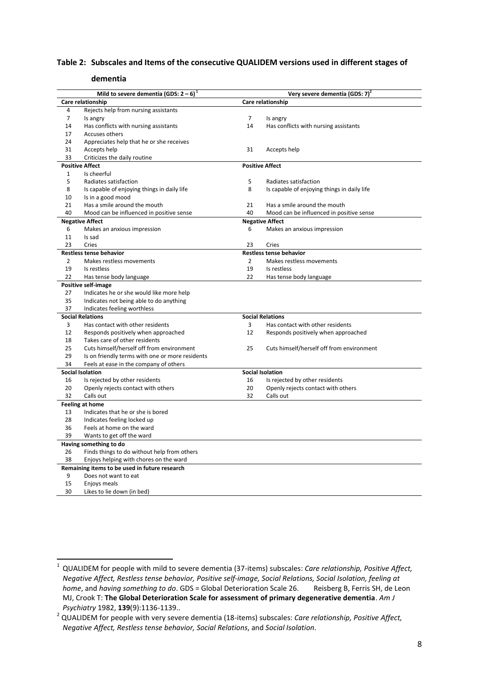#### **Table 2: Subscales and Items of the consecutive QUALIDEM versions used in different stages of**

#### **dementia**

|                | Mild to severe dementia (GDS: $2-6$ ) <sup>1</sup>              |                   | Very severe dementia (GDS: 7)               |  |  |
|----------------|-----------------------------------------------------------------|-------------------|---------------------------------------------|--|--|
|                | Care relationship                                               | Care relationship |                                             |  |  |
| 4              | Rejects help from nursing assistants                            |                   |                                             |  |  |
| $\overline{7}$ | Is angry                                                        | 7                 | Is angry                                    |  |  |
| 14             | Has conflicts with nursing assistants                           | 14                | Has conflicts with nursing assistants       |  |  |
| 17             | Accuses others                                                  |                   |                                             |  |  |
| 24             | Appreciates help that he or she receives                        |                   |                                             |  |  |
| 31             | Accepts help                                                    | 31                | Accepts help                                |  |  |
| 33             | Criticizes the daily routine                                    |                   |                                             |  |  |
|                | <b>Positive Affect</b>                                          |                   | <b>Positive Affect</b>                      |  |  |
| $\mathbf{1}$   | Is cheerful                                                     |                   |                                             |  |  |
| 5              | Radiates satisfaction                                           | 5                 | Radiates satisfaction                       |  |  |
| 8              | Is capable of enjoying things in daily life                     | 8                 | Is capable of enjoying things in daily life |  |  |
| 10             | Is in a good mood                                               |                   |                                             |  |  |
| 21             | Has a smile around the mouth                                    | 21                | Has a smile around the mouth                |  |  |
| 40             | Mood can be influenced in positive sense                        | 40                | Mood can be influenced in positive sense    |  |  |
|                | <b>Negative Affect</b>                                          |                   | <b>Negative Affect</b>                      |  |  |
| 6              | Makes an anxious impression                                     | 6                 | Makes an anxious impression                 |  |  |
| 11             | Is sad                                                          |                   |                                             |  |  |
| 23             | Cries                                                           | 23                | Cries                                       |  |  |
|                | Restless tense behavior                                         |                   | Restless tense behavior                     |  |  |
| $\overline{2}$ | Makes restless movements                                        | $\overline{2}$    | Makes restless movements                    |  |  |
| 19             | Is restless                                                     | 19<br>22          | Is restless                                 |  |  |
| 22             | Has tense body language                                         |                   | Has tense body language                     |  |  |
| 27             | Positive self-image<br>Indicates he or she would like more help |                   |                                             |  |  |
| 35             | Indicates not being able to do anything                         |                   |                                             |  |  |
| 37             | Indicates feeling worthless                                     |                   |                                             |  |  |
|                | <b>Social Relations</b>                                         |                   | <b>Social Relations</b>                     |  |  |
| 3              | Has contact with other residents                                | 3                 | Has contact with other residents            |  |  |
| 12             | Responds positively when approached                             | 12                | Responds positively when approached         |  |  |
| 18             | Takes care of other residents                                   |                   |                                             |  |  |
| 25             | Cuts himself/herself off from environment                       | 25                | Cuts himself/herself off from environment   |  |  |
| 29             | Is on friendly terms with one or more residents                 |                   |                                             |  |  |
| 34             | Feels at ease in the company of others                          |                   |                                             |  |  |
|                | <b>Social Isolation</b>                                         |                   | <b>Social Isolation</b>                     |  |  |
| 16             | Is rejected by other residents                                  | 16                | Is rejected by other residents              |  |  |
| 20             | Openly rejects contact with others                              | 20                | Openly rejects contact with others          |  |  |
| 32             | Calls out                                                       | 32                | Calls out                                   |  |  |
|                | <b>Feeling at home</b>                                          |                   |                                             |  |  |
| 13             | Indicates that he or she is bored                               |                   |                                             |  |  |
| 28             | Indicates feeling locked up                                     |                   |                                             |  |  |
| 36             | Feels at home on the ward                                       |                   |                                             |  |  |
| 39             | Wants to get off the ward                                       |                   |                                             |  |  |
|                | Having something to do                                          |                   |                                             |  |  |
| 26             | Finds things to do without help from others                     |                   |                                             |  |  |
| 38             | Enjoys helping with chores on the ward                          |                   |                                             |  |  |
|                | Remaining items to be used in future research                   |                   |                                             |  |  |
| 9              | Does not want to eat                                            |                   |                                             |  |  |
| 15             | Enjoys meals                                                    |                   |                                             |  |  |
| 30             | Likes to lie down (in bed)                                      |                   |                                             |  |  |

 $\frac{1}{1}$ QUALIDEM for people with mild to severe dementia (37-items) subscales: *Care relationship, Positive Affect, Negative Affect, Restless tense behavior, Positive self-image, Social Relations, Social Isolation, feeling at home*, and *having something to do*. GDS = Global Deterioration Scale 26. Reisberg B, Ferris SH, de Leon MJ, Crook T: **The Global Deterioration Scale for assessment of primary degenerative dementia**. *Am J Psychiatry* 1982, **139**(9):1136-1139..

 QUALIDEM for people with very severe dementia (18-items) subscales: *Care relationship, Positive Affect, Negative Affect, Restless tense behavior, Social Relations*, and *Social Isolation*.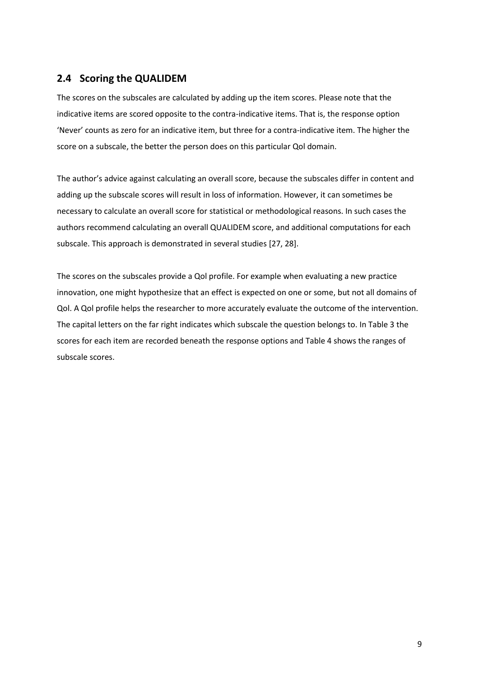### <span id="page-8-0"></span>**2.4 Scoring the QUALIDEM**

The scores on the subscales are calculated by adding up the item scores. Please note that the indicative items are scored opposite to the contra-indicative items. That is, the response option 'Never' counts as zero for an indicative item, but three for a contra-indicative item. The higher the score on a subscale, the better the person does on this particular Qol domain.

The author's advice against calculating an overall score, because the subscales differ in content and adding up the subscale scores will result in loss of information. However, it can sometimes be necessary to calculate an overall score for statistical or methodological reasons. In such cases the authors recommend calculating an overall QUALIDEM score, and additional computations for each subscale. This approach is demonstrated in several studies [\[27,](#page-45-0) [28\]](#page-45-1).

The scores on the subscales provide a Qol profile. For example when evaluating a new practice innovation, one might hypothesize that an effect is expected on one or some, but not all domains of Qol. A Qol profile helps the researcher to more accurately evaluate the outcome of the intervention. The capital letters on the far right indicates which subscale the question belongs to. In Table 3 the scores for each item are recorded beneath the response options and Table 4 shows the ranges of subscale scores.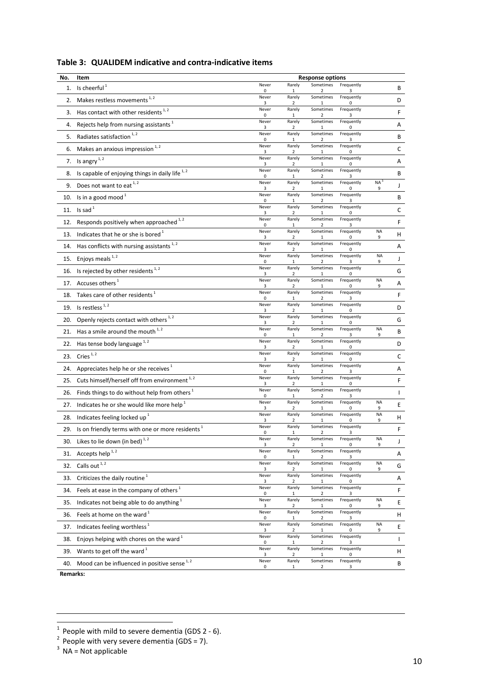| No.      | Item                                                         |            |                        | <b>Response options</b>              |                 |                |              |
|----------|--------------------------------------------------------------|------------|------------------------|--------------------------------------|-----------------|----------------|--------------|
| 1.       | Is cheerful $1$                                              | Never<br>0 | Rarely<br>1            | Sometimes<br>$\overline{\mathbf{z}}$ | Frequently<br>3 |                | В            |
| 2.       | Makes restless movements <sup>1,2</sup>                      | Never<br>3 | Rarely<br>2            | Sometimes<br>1                       | Frequently<br>0 |                | D            |
| 3.       | Has contact with other residents <sup>1,2</sup>              | Never<br>0 | Rarely<br>1            | Sometimes<br>$\overline{2}$          | Frequently<br>3 |                | F            |
| 4.       | Rejects help from nursing assistants <sup>1</sup>            | Never<br>3 | Rarely<br>2            | Sometimes                            | Frequently<br>0 |                | Α            |
| 5.       | Radiates satisfaction <sup>1,2</sup>                         | Never<br>0 | Rarely<br>1            | Sometimes<br>$\overline{2}$          | Frequently<br>3 |                | В            |
| 6.       | Makes an anxious impression <sup>1,2</sup>                   | Never<br>3 | Rarely<br>2            | Sometimes                            | Frequently      |                | $\mathsf C$  |
| 7.       | Is angry $1, 2$                                              | Never<br>3 | Rarely<br>2            | Sometimes<br>$\mathbf{1}$            | Frequently<br>0 |                | Α            |
| 8.       | Is capable of enjoying things in daily life <sup>1,2</sup>   | Never<br>0 | Rarely<br>$\mathbf{1}$ | Sometimes<br>2                       | Frequently<br>3 |                | В            |
| 9.       | Does not want to eat <sup>1,2</sup>                          | Never<br>3 | Rarely<br>2            | Sometimes<br>1                       | Frequently<br>0 | <b>NA</b><br>9 | J            |
| 10.      | Is in a good mood <sup>1</sup>                               | Never<br>0 | Rarely<br>1            | Sometimes<br>2                       | Frequently<br>3 |                | В            |
| 11.      | Is sad $1$                                                   | Never<br>3 | Rarely<br>2            | Sometimes<br>1                       | Frequently<br>O |                | c            |
| 12.      | Responds positively when approached 1, 2                     | Never<br>0 | Rarely<br>1            | Sometimes<br>2                       | Frequently<br>3 |                | F            |
| 13.      | Indicates that he or she is bored <sup>1</sup>               | Never<br>3 | Rarely<br>2            | Sometimes<br>1                       | Frequently<br>O | <b>NA</b><br>9 | н            |
| 14.      | Has conflicts with nursing assistants <sup>1,2</sup>         | Never<br>3 | Rarely<br>2            | Sometimes<br>1                       | Frequently<br>0 |                | Α            |
| 15.      | Enjoys meals <sup>1,2</sup>                                  | Never<br>0 | Rarely<br>$\mathbf{1}$ | Sometimes<br>2                       | Frequently<br>3 | <b>NA</b><br>9 | J            |
| 16.      | Is rejected by other residents <sup>1,2</sup>                | Never<br>3 | Rarely<br>2            | Sometimes<br>$\mathbf{1}$            | Frequently<br>0 |                | G            |
| 17.      | Accuses others <sup>1</sup>                                  | Never<br>3 | Rarely<br>2            | Sometimes<br>$\mathbf{1}$            | Frequently<br>0 | <b>NA</b><br>9 | Α            |
| 18.      | Takes care of other residents <sup>1</sup>                   | Never<br>0 | Rarely<br>$\mathbf{1}$ | Sometimes<br>2                       | Frequently<br>3 |                | F            |
| 19.      | Is restless $1, 2$                                           | Never<br>3 | Rarely<br>2            | Sometimes<br>1                       | Frequently<br>0 |                | D            |
| 20.      | Openly rejects contact with others <sup>1,2</sup>            | Never<br>3 | Rarely<br>2            | Sometimes<br>1                       | Frequently<br>0 |                | G            |
| 21.      | Has a smile around the mouth <sup>1,2</sup>                  | Never<br>0 | Rarely<br>1            | Sometimes<br>$\overline{2}$          | Frequently<br>3 | <b>NA</b><br>9 | В            |
| 22.      | Has tense body language <sup>1,2</sup>                       | Never<br>3 | Rarely<br>2            | Sometimes<br>1                       | Frequently<br>0 |                | D            |
| 23.      | Cries $1, 2$                                                 | Never<br>3 | Rarely<br>2            | Sometimes                            | Frequently<br>O |                | C            |
| 24.      | Appreciates help he or she receives <sup>1</sup>             | Never<br>0 | Rarely<br>1            | Sometimes<br>$\overline{2}$          | Frequently<br>3 |                | Α            |
| 25.      | Cuts himself/herself off from environment <sup>1,2</sup>     | Never<br>3 | Rarely<br>2            | Sometimes<br>1                       | Frequently<br>0 |                | F            |
| 26.      | Finds things to do without help from others <sup>1</sup>     | Never<br>0 | Rarely<br>1            | Sometimes<br>2                       | Frequently<br>3 |                | $\mathbf{I}$ |
| 27.      | Indicates he or she would like more help <sup>1</sup>        | Never<br>3 | Rarely<br>2            | Sometimes<br>1                       | Frequently<br>0 | <b>NA</b><br>9 | Е            |
| 28.      | Indicates feeling locked up <sup>1</sup>                     | Never<br>3 | Rarely<br>2            | Sometimes<br>1                       | Frequently<br>0 | <b>NA</b><br>9 | н            |
| 29.      | Is on friendly terms with one or more residents <sup>1</sup> | Never<br>0 | Rarely                 | Sometimes                            | Frequently      |                | F            |
|          | 30. Likes to lie down (in bed) $^{1,2}$                      | Never<br>3 | Rarely<br>2            | Sometimes                            | Frequently<br>0 | <b>NA</b><br>9 | J            |
| 31.      | Accepts help $^{1, 2}$                                       | Never<br>0 | Rarely<br>1            | Sometimes<br>2                       | Frequently<br>3 |                | Α            |
| 32.      | Calls out <sup>1,2</sup>                                     | Never<br>3 | Rarely<br>2            | Sometimes                            | Frequently<br>0 | <b>NA</b><br>9 | G            |
| 33.      | Criticizes the daily routine <sup>1</sup>                    | Never<br>3 | Rarely<br>2            | Sometimes                            | Frequently<br>0 |                | A            |
| 34.      | Feels at ease in the company of others <sup>1</sup>          | Never<br>0 | Rarely<br>1            | Sometimes<br>2                       | Frequently<br>3 |                | F            |
| 35.      | Indicates not being able to do anything <sup>1</sup>         | Never<br>3 | Rarely<br>2            | Sometimes                            | Frequently<br>0 | <b>NA</b><br>9 | Е            |
| 36.      | Feels at home on the ward <sup>1</sup>                       | Never<br>0 | Rarely<br>$\mathbf{1}$ | Sometimes<br>$\overline{2}$          | Frequently<br>3 |                | н            |
| 37.      | Indicates feeling worthless <sup>1</sup>                     | Never<br>3 | Rarely<br>2            | Sometimes                            | Frequently<br>0 | <b>NA</b><br>9 | Ε            |
| 38.      | Enjoys helping with chores on the ward <sup>1</sup>          | Never<br>0 | Rarely<br>$\mathbf{1}$ | Sometimes<br>2                       | Frequently<br>3 |                | $\mathsf{I}$ |
| 39.      | Wants to get off the ward $^1$                               | Never<br>3 | Rarely<br>2            | Sometimes                            | Frequently<br>0 |                | H            |
| 40.      | Mood can be influenced in positive sense <sup>1,2</sup>      | Never<br>0 | Rarely<br>1            | Sometimes<br>2                       | Frequently<br>3 |                | В            |
| Remarks: |                                                              |            |                        |                                      |                 |                |              |

### **Table 3: QUALIDEM indicative and contra-indicative items**

<sup>1&</sup>lt;br>
<sup>1</sup> People with mild to severe dementia (GDS 2 - 6).<br>
<sup>2</sup> People with very severe dementia (GDS = 7).<br>
<sup>3</sup> NA = Not applicable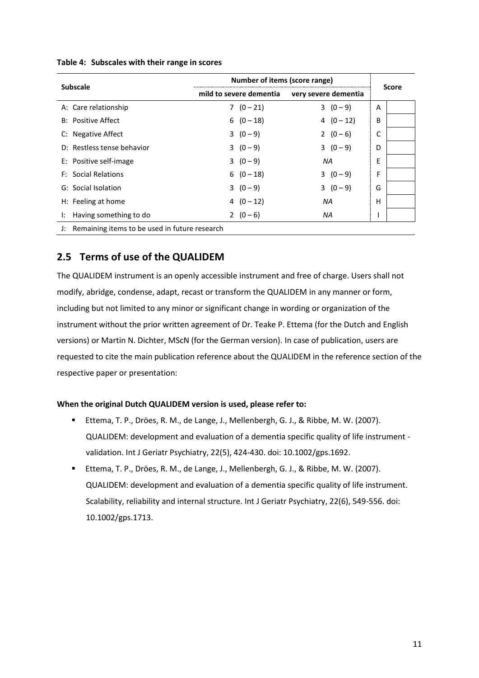|                                                  | Number of items (score range) |                      |              |  |
|--------------------------------------------------|-------------------------------|----------------------|--------------|--|
| <b>Subscale</b>                                  | mild to severe dementia       | very severe dementia | <b>Score</b> |  |
| A: Care relationship                             | $7(0-21)$                     | $3(0-9)$             | A            |  |
| <b>B:</b> Positive Affect                        | $6(0-18)$                     | $4(0-12)$            | B            |  |
| C: Negative Affect                               | $3(0-9)$                      | 2 $(0-6)$            |              |  |
| D: Restless tense behavior                       | $3(0-9)$                      | $3(0-9)$             | D            |  |
| E: Positive self-image                           | $3(0-9)$                      | NA.                  | E            |  |
| <b>F:</b> Social Relations                       | $6(0-18)$                     | $3(0-9)$             | F            |  |
| G: Social Isolation                              | $3(0-9)$                      | $3(0-9)$             | G            |  |
| H: Feeling at home                               | 4 $(0-12)$                    | NA                   | н            |  |
| Having something to do<br>Ŀ.                     | 2 $(0-6)$                     | ΝA                   |              |  |
| J: Remaining items to be used in future research |                               |                      |              |  |

#### **Table 4: Subscales with their range in scores**

### <span id="page-10-0"></span>**2.5 Terms of use of the QUALIDEM**

The QUALIDEM instrument is an openly accessible instrument and free of charge. Users shall not modify, abridge, condense, adapt, recast or transform the QUALIDEM in any manner or form, including but not limited to any minor or significant change in wording or organization of the instrument without the prior written agreement of Dr. Teake P. Ettema (for the Dutch and English versions) or Martin N. Dichter, MScN (for the German version). In case of publication, users are requested to cite the main publication reference about the QUALIDEM in the reference section of the respective paper or presentation:

#### **When the original Dutch QUALIDEM version is used, please refer to:**

- Ettema, T. P., Dröes, R. M., de Lange, J., Mellenbergh, G. J., & Ribbe, M. W. (2007). QUALIDEM: development and evaluation of a dementia specific quality of life instrument validation. Int J Geriatr Psychiatry, 22(5), 424-430. doi: 10.1002/gps.1692.
- Ettema, T. P., Dröes, R. M., de Lange, J., Mellenbergh, G. J., & Ribbe, M. W. (2007). QUALIDEM: development and evaluation of a dementia specific quality of life instrument. Scalability, reliability and internal structure. Int J Geriatr Psychiatry, 22(6), 549-556. doi: 10.1002/gps.1713.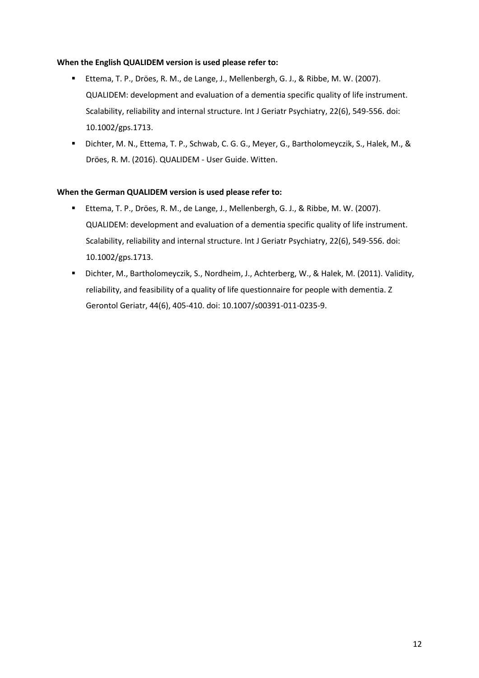#### **When the English QUALIDEM version is used please refer to:**

- Ettema, T. P., Dröes, R. M., de Lange, J., Mellenbergh, G. J., & Ribbe, M. W. (2007). QUALIDEM: development and evaluation of a dementia specific quality of life instrument. Scalability, reliability and internal structure. Int J Geriatr Psychiatry, 22(6), 549-556. doi: 10.1002/gps.1713.
- Dichter, M. N., Ettema, T. P., Schwab, C. G. G., Meyer, G., Bartholomeyczik, S., Halek, M., & Dröes, R. M. (2016). QUALIDEM - User Guide. Witten.

#### **When the German QUALIDEM version is used please refer to:**

- Ettema, T. P., Dröes, R. M., de Lange, J., Mellenbergh, G. J., & Ribbe, M. W. (2007). QUALIDEM: development and evaluation of a dementia specific quality of life instrument. Scalability, reliability and internal structure. Int J Geriatr Psychiatry, 22(6), 549-556. doi: 10.1002/gps.1713.
- Dichter, M., Bartholomeyczik, S., Nordheim, J., Achterberg, W., & Halek, M. (2011). Validity, reliability, and feasibility of a quality of life questionnaire for people with dementia. Z Gerontol Geriatr, 44(6), 405-410. doi: 10.1007/s00391-011-0235-9.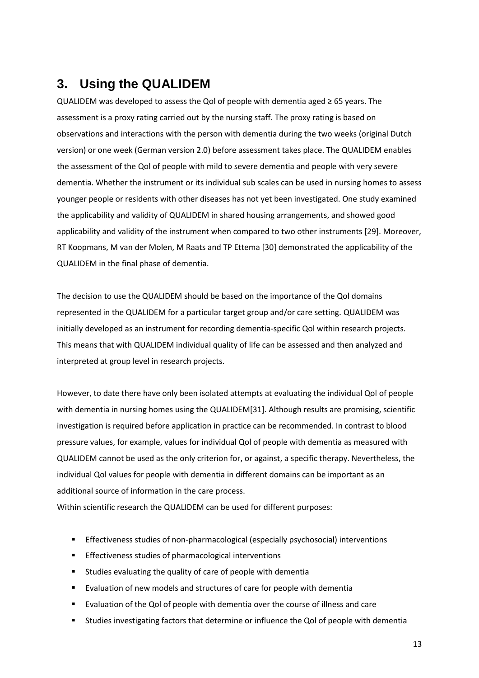# <span id="page-12-0"></span>**3. Using the QUALIDEM**

QUALIDEM was developed to assess the Qol of people with dementia aged ≥ 65 years. The assessment is a proxy rating carried out by the nursing staff. The proxy rating is based on observations and interactions with the person with dementia during the two weeks (original Dutch version) or one week (German version 2.0) before assessment takes place. The QUALIDEM enables the assessment of the Qol of people with mild to severe dementia and people with very severe dementia. Whether the instrument or its individual sub scales can be used in nursing homes to assess younger people or residents with other diseases has not yet been investigated. One study examined the applicability and validity of QUALIDEM in shared housing arrangements, and showed good applicability and validity of the instrument when compared to two other instruments [\[29\]](#page-45-2). Moreover, [RT Koopmans, M van der Molen, M Raats and TP Ettema \[30\]](#page-45-3) demonstrated the applicability of the QUALIDEM in the final phase of dementia.

The decision to use the QUALIDEM should be based on the importance of the Qol domains represented in the QUALIDEM for a particular target group and/or care setting. QUALIDEM was initially developed as an instrument for recording dementia-specific Qol within research projects. This means that with QUALIDEM individual quality of life can be assessed and then analyzed and interpreted at group level in research projects.

However, to date there have only been isolated attempts at evaluating the individual Qol of people with dementia in nursing homes using the QUALIDEM[\[31\]](#page-45-4). Although results are promising, scientific investigation is required before application in practice can be recommended. In contrast to blood pressure values, for example, values for individual Qol of people with dementia as measured with QUALIDEM cannot be used as the only criterion for, or against, a specific therapy. Nevertheless, the individual Qol values for people with dementia in different domains can be important as an additional source of information in the care process.

Within scientific research the QUALIDEM can be used for different purposes:

- Effectiveness studies of non-pharmacological (especially psychosocial) interventions
- **Effectiveness studies of pharmacological interventions**
- **EXTERGHT Studies evaluating the quality of care of people with dementially**
- Evaluation of new models and structures of care for people with dementia
- Evaluation of the Qol of people with dementia over the course of illness and care
- Studies investigating factors that determine or influence the Qol of people with dementia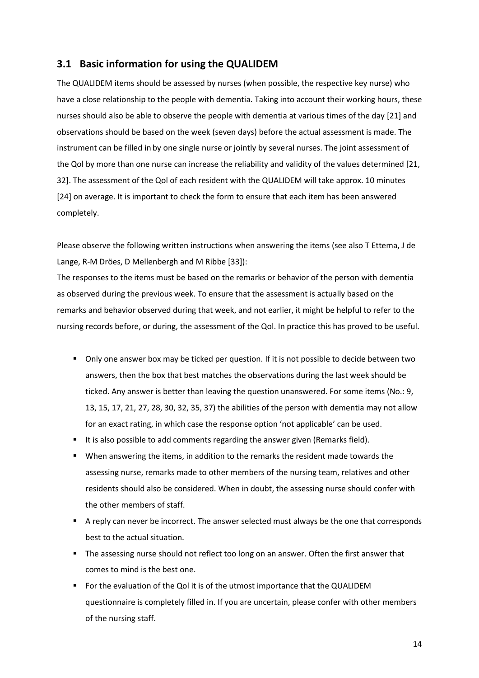### <span id="page-13-0"></span>**3.1 Basic information for using the QUALIDEM**

The QUALIDEM items should be assessed by nurses (when possible, the respective key nurse) who have a close relationship to the people with dementia. Taking into account their working hours, these nurses should also be able to observe the people with dementia at various times of the day [\[21\]](#page-44-6) and observations should be based on the week (seven days) before the actual assessment is made. The instrument can be filled in by one single nurse or jointly by several nurses. The joint assessment of the Qol by more than one nurse can increase the reliability and validity of the values determined [\[21,](#page-44-6) [32\]](#page-45-5). The assessment of the Qol of each resident with the QUALIDEM will take approx. 10 minutes [\[24\]](#page-44-9) on average. It is important to check the form to ensure that each item has been answered completely.

Please observe the following written instructions when answering the items (see also [T Ettema, J de](#page-45-6)  [Lange, R-M Dröes, D Mellenbergh and M Ribbe \[33\]](#page-45-6)):

The responses to the items must be based on the remarks or behavior of the person with dementia as observed during the previous week. To ensure that the assessment is actually based on the remarks and behavior observed during that week, and not earlier, it might be helpful to refer to the nursing records before, or during, the assessment of the Qol. In practice this has proved to be useful.

- Only one answer box may be ticked per question. If it is not possible to decide between two answers, then the box that best matches the observations during the last week should be ticked. Any answer is better than leaving the question unanswered. For some items (No.: 9, 13, 15, 17, 21, 27, 28, 30, 32, 35, 37) the abilities of the person with dementia may not allow for an exact rating, in which case the response option 'not applicable' can be used.
- It is also possible to add comments regarding the answer given (Remarks field).
- When answering the items, in addition to the remarks the resident made towards the assessing nurse, remarks made to other members of the nursing team, relatives and other residents should also be considered. When in doubt, the assessing nurse should confer with the other members of staff.
- A reply can never be incorrect. The answer selected must always be the one that corresponds best to the actual situation.
- The assessing nurse should not reflect too long on an answer. Often the first answer that comes to mind is the best one.
- For the evaluation of the Qol it is of the utmost importance that the QUALIDEM questionnaire is completely filled in. If you are uncertain, please confer with other members of the nursing staff.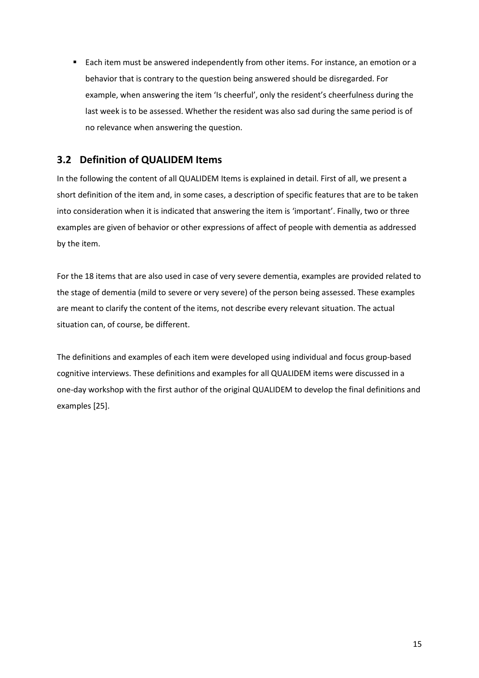**Each item must be answered independently from other items. For instance, an emotion or a** behavior that is contrary to the question being answered should be disregarded. For example, when answering the item 'Is cheerful', only the resident's cheerfulness during the last week is to be assessed. Whether the resident was also sad during the same period is of no relevance when answering the question.

# <span id="page-14-0"></span>**3.2 Definition of QUALIDEM Items**

In the following the content of all QUALIDEM Items is explained in detail. First of all, we present a short definition of the item and, in some cases, a description of specific features that are to be taken into consideration when it is indicated that answering the item is 'important'. Finally, two or three examples are given of behavior or other expressions of affect of people with dementia as addressed by the item.

For the 18 items that are also used in case of very severe dementia, examples are provided related to the stage of dementia (mild to severe or very severe) of the person being assessed. These examples are meant to clarify the content of the items, not describe every relevant situation. The actual situation can, of course, be different.

The definitions and examples of each item were developed using individual and focus group-based cognitive interviews. These definitions and examples for all QUALIDEM items were discussed in a one-day workshop with the first author of the original QUALIDEM to develop the final definitions and examples [\[25\]](#page-44-10).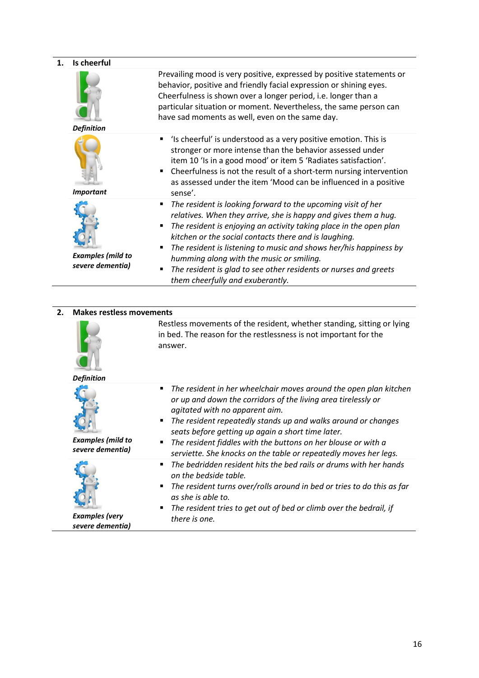#### **1. Is cheerful** *Definition* Prevailing mood is very positive, expressed by positive statements or behavior, positive and friendly facial expression or shining eyes. Cheerfulness is shown over a longer period, i.e. longer than a particular situation or moment. Nevertheless, the same person can have sad moments as well, even on the same day. *Important* 'Is cheerful' is understood as a very positive emotion. This is stronger or more intense than the behavior assessed under item 10 'Is in a good mood' or item 5 'Radiates satisfaction'. ■ Cheerfulness is not the result of a short-term nursing intervention as assessed under the item 'Mood can be influenced in a positive sense'. *Examples (mild to severe dementia) The resident is looking forward to the upcoming visit of her relatives. When they arrive, she is happy and gives them a hug. The resident is enjoying an activity taking place in the open plan kitchen or the social contacts there and is laughing. The resident is listening to music and shows her/his happiness by humming along with the music or smiling. The resident is glad to see other residents or nurses and greets them cheerfully and exuberantly.*

**2. Makes restless movements** *Definition* Restless movements of the resident, whether standing, sitting or lying in bed. The reason for the restlessness is not important for the answer. *Examples (mild to severe dementia) The resident in her wheelchair moves around the open plan kitchen or up and down the corridors of the living area tirelessly or agitated with no apparent aim. The resident repeatedly stands up and walks around or changes seats before getting up again a short time later. The resident fiddles with the buttons on her blouse or with a serviette. She knocks on the table or repeatedly moves her legs. Examples (very severe dementia) The bedridden resident hits the bed rails or drums with her hands on the bedside table. The resident turns over/rolls around in bed or tries to do this as far as she is able to. The resident tries to get out of bed or climb over the bedrail, if there is one.*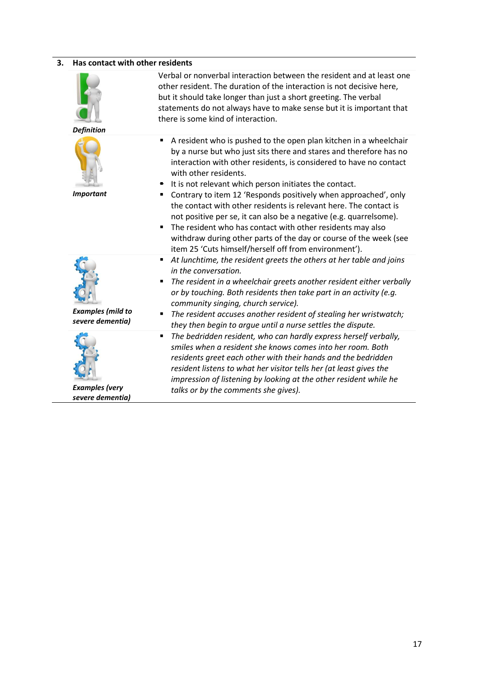| Has contact with other residents<br>3.       |                                                                                                                                                                                                                                                                                                                                                                                                                                                                                                                                                                                                                                                                                                              |
|----------------------------------------------|--------------------------------------------------------------------------------------------------------------------------------------------------------------------------------------------------------------------------------------------------------------------------------------------------------------------------------------------------------------------------------------------------------------------------------------------------------------------------------------------------------------------------------------------------------------------------------------------------------------------------------------------------------------------------------------------------------------|
| <b>Definition</b>                            | Verbal or nonverbal interaction between the resident and at least one<br>other resident. The duration of the interaction is not decisive here,<br>but it should take longer than just a short greeting. The verbal<br>statements do not always have to make sense but it is important that<br>there is some kind of interaction.                                                                                                                                                                                                                                                                                                                                                                             |
| <b>Important</b>                             | A resident who is pushed to the open plan kitchen in a wheelchair<br>by a nurse but who just sits there and stares and therefore has no<br>interaction with other residents, is considered to have no contact<br>with other residents.<br>It is not relevant which person initiates the contact.<br>• Contrary to item 12 'Responds positively when approached', only<br>the contact with other residents is relevant here. The contact is<br>not positive per se, it can also be a negative (e.g. quarrelsome).<br>The resident who has contact with other residents may also<br>withdraw during other parts of the day or course of the week (see<br>item 25 'Cuts himself/herself off from environment'). |
| <b>Examples (mild to</b><br>severe dementia) | At lunchtime, the resident greets the others at her table and joins<br>٠<br>in the conversation.<br>The resident in a wheelchair greets another resident either verbally<br>or by touching. Both residents then take part in an activity (e.g.<br>community singing, church service).<br>The resident accuses another resident of stealing her wristwatch;<br>they then begin to argue until a nurse settles the dispute.                                                                                                                                                                                                                                                                                    |
| <b>Examples</b> (very<br>severe dementia)    | The bedridden resident, who can hardly express herself verbally,<br>٠<br>smiles when a resident she knows comes into her room. Both<br>residents greet each other with their hands and the bedridden<br>resident listens to what her visitor tells her (at least gives the<br>impression of listening by looking at the other resident while he<br>talks or by the comments she gives).                                                                                                                                                                                                                                                                                                                      |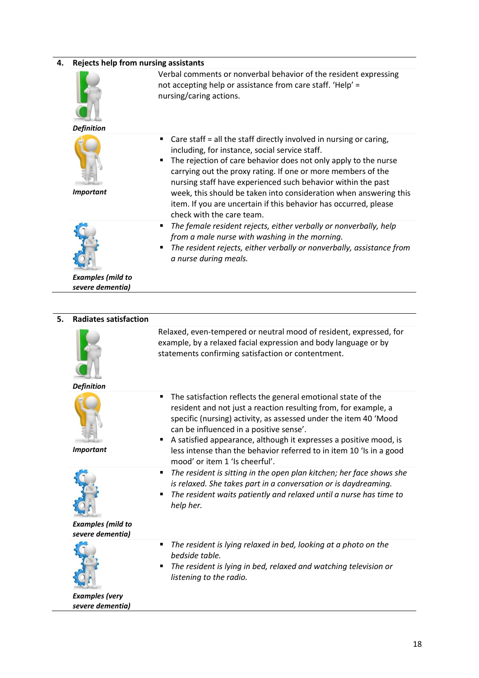# **4. Rejects help from nursing assistants** *Definition* Verbal comments or nonverbal behavior of the resident expressing not accepting help or assistance from care staff. 'Help' = nursing/caring actions. *Important* ■ Care staff = all the staff directly involved in nursing or caring, including, for instance, social service staff. The rejection of care behavior does not only apply to the nurse carrying out the proxy rating. If one or more members of the nursing staff have experienced such behavior within the past week, this should be taken into consideration when answering this item. If you are uncertain if this behavior has occurred, please check with the care team. *The female resident rejects, either verbally or nonverbally, help from a male nurse with washing in the morning. The resident rejects, either verbally or nonverbally, assistance from a nurse during meals.*

*Examples (mild to severe dementia)*

| 5. | <b>Radiates satisfaction</b>                 |                                                                                                                                                                                                                                                                                                                                                                                                                                   |
|----|----------------------------------------------|-----------------------------------------------------------------------------------------------------------------------------------------------------------------------------------------------------------------------------------------------------------------------------------------------------------------------------------------------------------------------------------------------------------------------------------|
|    | <b>Definition</b>                            | Relaxed, even-tempered or neutral mood of resident, expressed, for<br>example, by a relaxed facial expression and body language or by<br>statements confirming satisfaction or contentment.                                                                                                                                                                                                                                       |
|    | <b>Important</b>                             | The satisfaction reflects the general emotional state of the<br>٠<br>resident and not just a reaction resulting from, for example, a<br>specific (nursing) activity, as assessed under the item 40 'Mood<br>can be influenced in a positive sense'.<br>A satisfied appearance, although it expresses a positive mood, is<br>less intense than the behavior referred to in item 10 'Is in a good<br>mood' or item 1 'Is cheerful'. |
|    | <b>Examples (mild to</b><br>severe dementia) | The resident is sitting in the open plan kitchen; her face shows she<br>٠<br>is relaxed. She takes part in a conversation or is daydreaming.<br>The resident waits patiently and relaxed until a nurse has time to<br>help her.                                                                                                                                                                                                   |
|    | <b>Examples</b> (very<br>severe dementia)    | The resident is lying relaxed in bed, looking at a photo on the<br>bedside table.<br>The resident is lying in bed, relaxed and watching television or<br>listening to the radio.                                                                                                                                                                                                                                                  |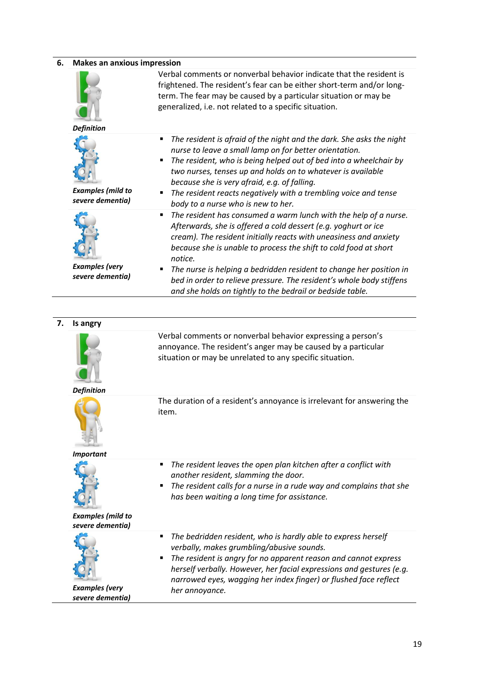| 6. | <b>Makes an anxious impression</b>           |                                                                                                                                                                                                                                                                                                                                                       |
|----|----------------------------------------------|-------------------------------------------------------------------------------------------------------------------------------------------------------------------------------------------------------------------------------------------------------------------------------------------------------------------------------------------------------|
|    | <b>Definition</b>                            | Verbal comments or nonverbal behavior indicate that the resident is<br>frightened. The resident's fear can be either short-term and/or long-<br>term. The fear may be caused by a particular situation or may be<br>generalized, i.e. not related to a specific situation.                                                                            |
|    |                                              | The resident is afraid of the night and the dark. She asks the night                                                                                                                                                                                                                                                                                  |
|    | <b>Examples (mild to</b><br>severe dementia) | nurse to leave a small lamp on for better orientation.<br>The resident, who is being helped out of bed into a wheelchair by<br>two nurses, tenses up and holds on to whatever is available<br>because she is very afraid, e.g. of falling.<br>The resident reacts negatively with a trembling voice and tense<br>body to a nurse who is new to her.   |
|    |                                              | The resident has consumed a warm lunch with the help of a nurse.<br>Afterwards, she is offered a cold dessert (e.g. yoghurt or ice<br>cream). The resident initially reacts with uneasiness and anxiety<br>because she is unable to process the shift to cold food at short<br>notice.                                                                |
|    | <b>Examples (very</b><br>severe dementia)    | The nurse is helping a bedridden resident to change her position in<br>bed in order to relieve pressure. The resident's whole body stiffens<br>and she holds on tightly to the bedrail or bedside table.                                                                                                                                              |
|    |                                              |                                                                                                                                                                                                                                                                                                                                                       |
| 7. | Is angry                                     |                                                                                                                                                                                                                                                                                                                                                       |
|    |                                              | Verbal comments or nonverbal behavior expressing a person's<br>annoyance. The resident's anger may be caused by a particular<br>situation or may be unrelated to any specific situation.                                                                                                                                                              |
|    | <b>Definition</b><br><b>Important</b>        | The duration of a resident's annoyance is irrelevant for answering the<br>item.                                                                                                                                                                                                                                                                       |
|    | <b>Examples (mild to</b><br>severe dementia) | The resident leaves the open plan kitchen after a conflict with<br>$\blacksquare$<br>another resident, slamming the door.<br>The resident calls for a nurse in a rude way and complains that she<br>٠<br>has been waiting a long time for assistance.                                                                                                 |
|    | <b>Examples</b> (very                        | The bedridden resident, who is hardly able to express herself<br>٠<br>verbally, makes grumbling/abusive sounds.<br>The resident is angry for no apparent reason and cannot express<br>٠<br>herself verbally. However, her facial expressions and gestures (e.g.<br>narrowed eyes, wagging her index finger) or flushed face reflect<br>her annoyance. |

*Examples (very severe dementia)*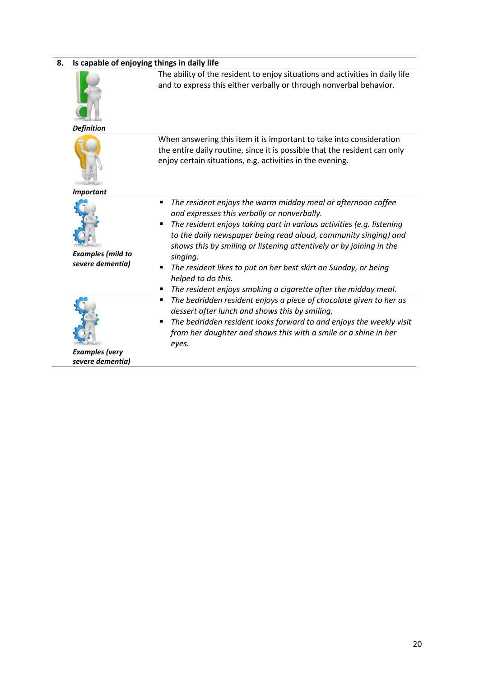#### **8. Is capable of enjoying things in daily life**



*Definition*

*Important*

The ability of the resident to enjoy situations and activities in daily life and to express this either verbally or through nonverbal behavior.

When answering this item it is important to take into consideration the entire daily routine, since it is possible that the resident can only enjoy certain situations, e.g. activities in the evening.

- *The resident enjoys the warm midday meal or afternoon coffee and expresses this verbally or nonverbally.*
- *The resident enjoys taking part in various activities (e.g. listening to the daily newspaper being read aloud, community singing) and shows this by smiling or listening attentively or by joining in the singing.*
- *The resident likes to put on her best skirt on Sunday, or being helped to do this.*
- *The resident enjoys smoking a cigarette after the midday meal.*
- *The bedridden resident enjoys a piece of chocolate given to her as dessert after lunch and shows this by smiling.*
- *The bedridden resident looks forward to and enjoys the weekly visit from her daughter and shows this with a smile or a shine in her eyes.*

*Examples (mild to severe dementia)*



*Examples (very severe dementia)*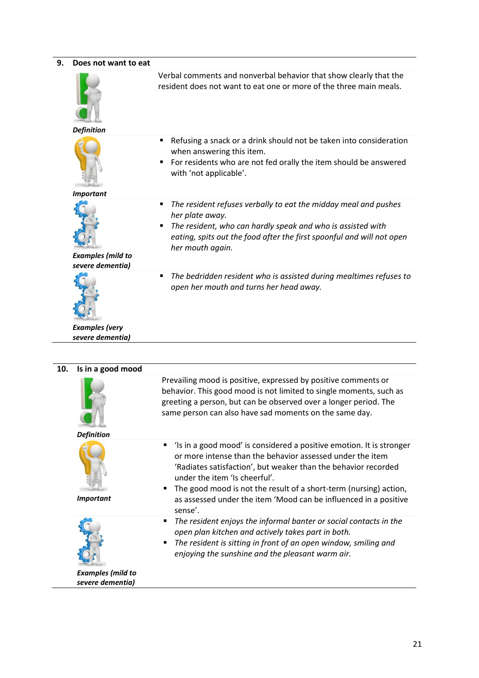| Does not want to eat                         |                                                                                                                                                                                                                                                     |
|----------------------------------------------|-----------------------------------------------------------------------------------------------------------------------------------------------------------------------------------------------------------------------------------------------------|
|                                              | Verbal comments and nonverbal behavior that show clearly that the<br>resident does not want to eat one or more of the three main meals.                                                                                                             |
| <b>Definition</b>                            |                                                                                                                                                                                                                                                     |
|                                              | Refusing a snack or a drink should not be taken into consideration<br>٠<br>when answering this item.<br>For residents who are not fed orally the item should be answered<br>with 'not applicable'.                                                  |
| <b>Important</b>                             |                                                                                                                                                                                                                                                     |
| <b>Examples (mild to</b><br>severe dementia) | The resident refuses verbally to eat the midday meal and pushes<br>٠<br>her plate away.<br>The resident, who can hardly speak and who is assisted with<br>eating, spits out the food after the first spoonful and will not open<br>her mouth again. |
| <b>Examples</b> (very                        | The bedridden resident who is assisted during mealtimes refuses to<br>٠<br>open her mouth and turns her head away.                                                                                                                                  |
| severe dementia)                             |                                                                                                                                                                                                                                                     |

| 10. | Is in a good mood                            |                                                                                                                                                                                                                                                                                                                                                                                               |
|-----|----------------------------------------------|-----------------------------------------------------------------------------------------------------------------------------------------------------------------------------------------------------------------------------------------------------------------------------------------------------------------------------------------------------------------------------------------------|
|     |                                              | Prevailing mood is positive, expressed by positive comments or<br>behavior. This good mood is not limited to single moments, such as<br>greeting a person, but can be observed over a longer period. The<br>same person can also have sad moments on the same day.                                                                                                                            |
|     | <b>Definition</b>                            |                                                                                                                                                                                                                                                                                                                                                                                               |
|     | <b>Important</b>                             | 'Is in a good mood' is considered a positive emotion. It is stronger<br>٠<br>or more intense than the behavior assessed under the item<br>'Radiates satisfaction', but weaker than the behavior recorded<br>under the item 'Is cheerful'.<br>The good mood is not the result of a short-term (nursing) action,<br>as assessed under the item 'Mood can be influenced in a positive<br>sense'. |
|     | <b>Examples (mild to</b><br>severe dementia) | The resident enjoys the informal banter or social contacts in the<br>٠<br>open plan kitchen and actively takes part in both.<br>The resident is sitting in front of an open window, smiling and<br>٠<br>enjoying the sunshine and the pleasant warm air.                                                                                                                                      |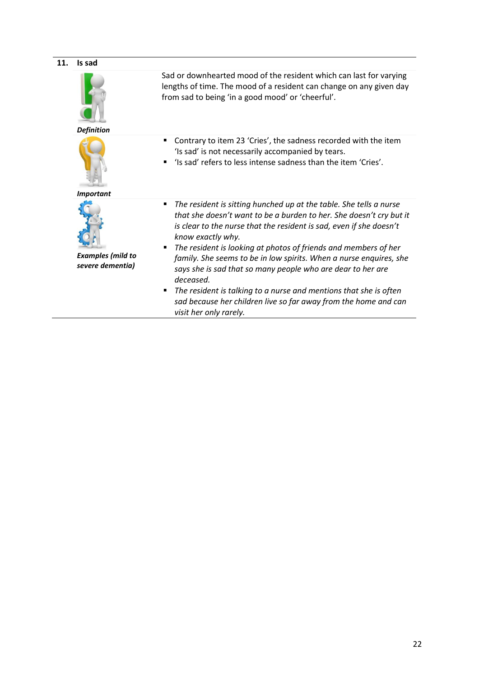| 11. | Is sad                                       |                                                                                                                                                                                                                                                                                                                                                                                                                                                                                                                                                                                                                                             |
|-----|----------------------------------------------|---------------------------------------------------------------------------------------------------------------------------------------------------------------------------------------------------------------------------------------------------------------------------------------------------------------------------------------------------------------------------------------------------------------------------------------------------------------------------------------------------------------------------------------------------------------------------------------------------------------------------------------------|
|     | <b>Definition</b>                            | Sad or downhearted mood of the resident which can last for varying<br>lengths of time. The mood of a resident can change on any given day<br>from sad to being 'in a good mood' or 'cheerful'.                                                                                                                                                                                                                                                                                                                                                                                                                                              |
|     | <b>Important</b>                             | Contrary to item 23 'Cries', the sadness recorded with the item<br>٠<br>'Is sad' is not necessarily accompanied by tears.<br>'Is sad' refers to less intense sadness than the item 'Cries'.<br>п                                                                                                                                                                                                                                                                                                                                                                                                                                            |
|     | <b>Examples (mild to</b><br>severe dementia) | The resident is sitting hunched up at the table. She tells a nurse<br>٠<br>that she doesn't want to be a burden to her. She doesn't cry but it<br>is clear to the nurse that the resident is sad, even if she doesn't<br>know exactly why.<br>The resident is looking at photos of friends and members of her<br>٠<br>family. She seems to be in low spirits. When a nurse enquires, she<br>says she is sad that so many people who are dear to her are<br>deceased.<br>The resident is talking to a nurse and mentions that she is often<br>п<br>sad because her children live so far away from the home and can<br>visit her only rarely. |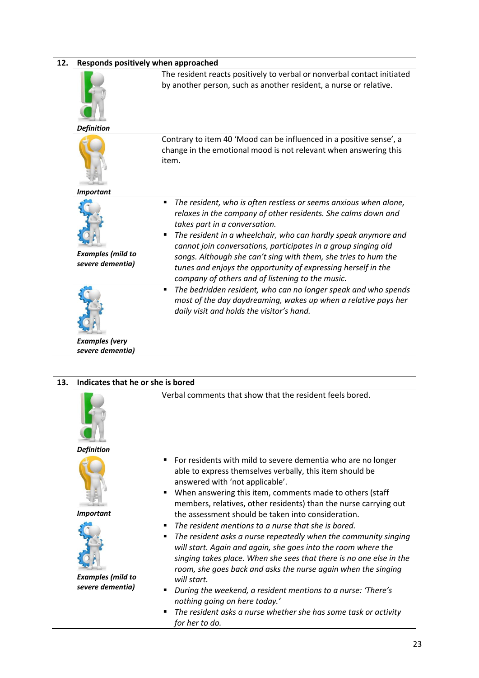| 12.<br>Responds positively when approached |                                              |                                                                                                                                                                                                                                                                                                                                                                                                                                                                                                         |
|--------------------------------------------|----------------------------------------------|---------------------------------------------------------------------------------------------------------------------------------------------------------------------------------------------------------------------------------------------------------------------------------------------------------------------------------------------------------------------------------------------------------------------------------------------------------------------------------------------------------|
|                                            |                                              | The resident reacts positively to verbal or nonverbal contact initiated<br>by another person, such as another resident, a nurse or relative.                                                                                                                                                                                                                                                                                                                                                            |
|                                            | <b>Definition</b>                            |                                                                                                                                                                                                                                                                                                                                                                                                                                                                                                         |
|                                            |                                              | Contrary to item 40 'Mood can be influenced in a positive sense', a<br>change in the emotional mood is not relevant when answering this<br>item.                                                                                                                                                                                                                                                                                                                                                        |
|                                            | <b>Important</b>                             |                                                                                                                                                                                                                                                                                                                                                                                                                                                                                                         |
|                                            | <b>Examples (mild to</b><br>severe dementia) | The resident, who is often restless or seems anxious when alone,<br>٠<br>relaxes in the company of other residents. She calms down and<br>takes part in a conversation.<br>The resident in a wheelchair, who can hardly speak anymore and<br>٠<br>cannot join conversations, participates in a group singing old<br>songs. Although she can't sing with them, she tries to hum the<br>tunes and enjoys the opportunity of expressing herself in the<br>company of others and of listening to the music. |
|                                            | <b>Examples</b> (very<br>severe dementia)    | The bedridden resident, who can no longer speak and who spends<br>٠<br>most of the day daydreaming, wakes up when a relative pays her<br>daily visit and holds the visitor's hand.                                                                                                                                                                                                                                                                                                                      |

| 13. | Indicates that he or she is bored            |                                                                                                                                                                                                                                                                                                                                                                                                                                                                                                                                                |  |
|-----|----------------------------------------------|------------------------------------------------------------------------------------------------------------------------------------------------------------------------------------------------------------------------------------------------------------------------------------------------------------------------------------------------------------------------------------------------------------------------------------------------------------------------------------------------------------------------------------------------|--|
|     | <b>Definition</b>                            | Verbal comments that show that the resident feels bored.                                                                                                                                                                                                                                                                                                                                                                                                                                                                                       |  |
|     | <b>Important</b>                             | For residents with mild to severe dementia who are no longer<br>٠<br>able to express themselves verbally, this item should be<br>answered with 'not applicable'.<br>When answering this item, comments made to others (staff<br>members, relatives, other residents) than the nurse carrying out<br>the assessment should be taken into consideration.                                                                                                                                                                                         |  |
|     | <b>Examples (mild to</b><br>severe dementia) | The resident mentions to a nurse that she is bored.<br>٠<br>The resident asks a nurse repeatedly when the community singing<br>٠<br>will start. Again and again, she goes into the room where the<br>singing takes place. When she sees that there is no one else in the<br>room, she goes back and asks the nurse again when the singing<br>will start.<br>During the weekend, a resident mentions to a nurse: 'There's<br>nothing going on here today.'<br>The resident asks a nurse whether she has some task or activity<br>for her to do. |  |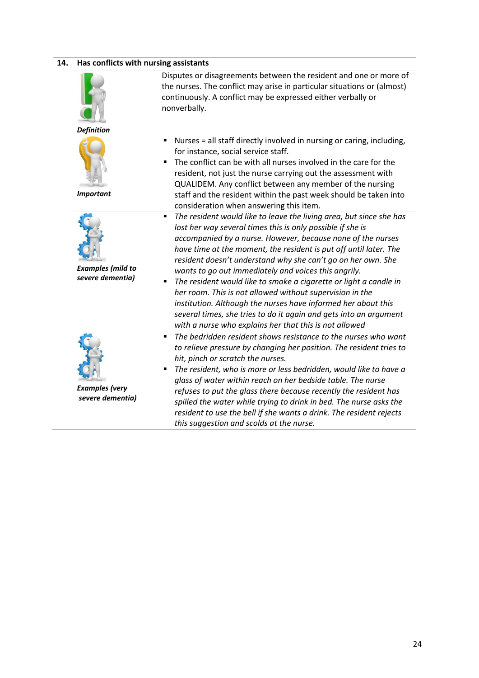#### **14. Has conflicts with nursing assistants**



*Definition*



*Important*



*Examples (mild to severe dementia)*



*Examples (very severe dementia)*

Disputes or disagreements between the resident and one or more of the nurses. The conflict may arise in particular situations or (almost) continuously. A conflict may be expressed either verbally or nonverbally.

- Nurses = all staff directly involved in nursing or caring, including, for instance, social service staff.
- The conflict can be with all nurses involved in the care for the resident, not just the nurse carrying out the assessment with QUALIDEM. Any conflict between any member of the nursing staff and the resident within the past week should be taken into consideration when answering this item.
- *The resident would like to leave the living area, but since she has lost her way several times this is only possible if she is accompanied by a nurse. However, because none of the nurses have time at the moment, the resident is put off until later. The resident doesn't understand why she can't go on her own. She wants to go out immediately and voices this angrily.*
- *The resident would like to smoke a cigarette or light a candle in her room. This is not allowed without supervision in the institution. Although the nurses have informed her about this several times, she tries to do it again and gets into an argument with a nurse who explains her that this is not allowed*
- *The bedridden resident shows resistance to the nurses who want to relieve pressure by changing her position. The resident tries to hit, pinch or scratch the nurses.*
- *The resident, who is more or less bedridden, would like to have a glass of water within reach on her bedside table. The nurse refuses to put the glass there because recently the resident has spilled the water while trying to drink in bed. The nurse asks the resident to use the bell if she wants a drink. The resident rejects this suggestion and scolds at the nurse.*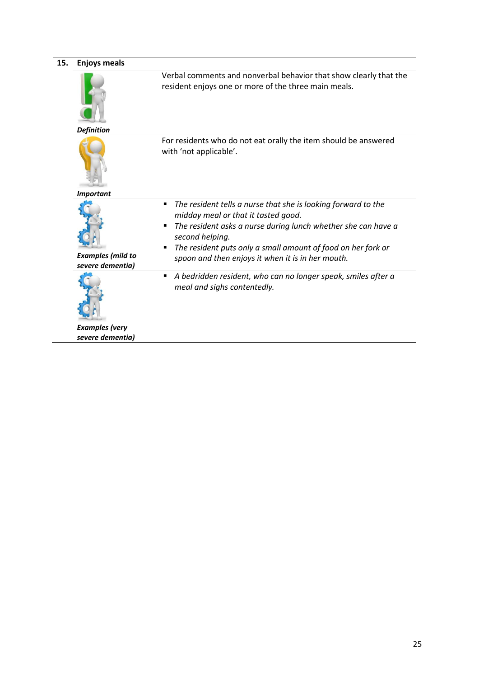| 15. | <b>Enjoys meals</b>                          |                                                                                                                                                                                                                                                                                                                                                        |  |
|-----|----------------------------------------------|--------------------------------------------------------------------------------------------------------------------------------------------------------------------------------------------------------------------------------------------------------------------------------------------------------------------------------------------------------|--|
|     | <b>Definition</b>                            | Verbal comments and nonverbal behavior that show clearly that the<br>resident enjoys one or more of the three main meals.                                                                                                                                                                                                                              |  |
|     | <b>Important</b>                             | For residents who do not eat orally the item should be answered<br>with 'not applicable'.                                                                                                                                                                                                                                                              |  |
|     | <b>Examples (mild to</b><br>severe dementia) | The resident tells a nurse that she is looking forward to the<br>$\blacksquare$<br>midday meal or that it tasted good.<br>The resident asks a nurse during lunch whether she can have a<br>$\blacksquare$<br>second helping.<br>The resident puts only a small amount of food on her fork or<br>п<br>spoon and then enjoys it when it is in her mouth. |  |
|     | <b>Examples</b> (very<br>severe dementia)    | A bedridden resident, who can no longer speak, smiles after a<br>٠<br>meal and sighs contentedly.                                                                                                                                                                                                                                                      |  |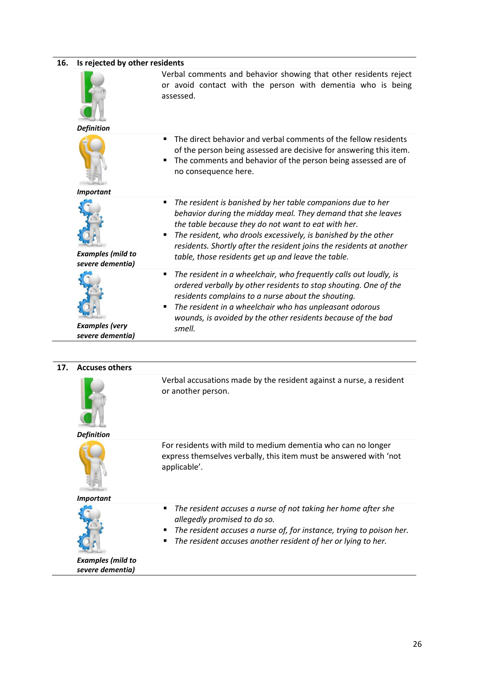| Is rejected by other residents               |                                                                                                                                                                                                                                                                                                                                                                                              |
|----------------------------------------------|----------------------------------------------------------------------------------------------------------------------------------------------------------------------------------------------------------------------------------------------------------------------------------------------------------------------------------------------------------------------------------------------|
|                                              | Verbal comments and behavior showing that other residents reject<br>or avoid contact with the person with dementia who is being<br>assessed.                                                                                                                                                                                                                                                 |
| <b>Definition</b>                            |                                                                                                                                                                                                                                                                                                                                                                                              |
|                                              | The direct behavior and verbal comments of the fellow residents<br>$\blacksquare$<br>of the person being assessed are decisive for answering this item.<br>The comments and behavior of the person being assessed are of<br>٠<br>no consequence here.                                                                                                                                        |
| <b>Important</b>                             |                                                                                                                                                                                                                                                                                                                                                                                              |
| <b>Examples (mild to</b><br>severe dementia) | The resident is banished by her table companions due to her<br>٠<br>behavior during the midday meal. They demand that she leaves<br>the table because they do not want to eat with her.<br>The resident, who drools excessively, is banished by the other<br>٠<br>residents. Shortly after the resident joins the residents at another<br>table, those residents get up and leave the table. |
| <b>Examples</b> (very<br>severe dementia)    | The resident in a wheelchair, who frequently calls out loudly, is<br>٠<br>ordered verbally by other residents to stop shouting. One of the<br>residents complains to a nurse about the shouting.<br>The resident in a wheelchair who has unpleasant odorous<br>٠<br>wounds, is avoided by the other residents because of the bad<br>smell.                                                   |

#### **17. Accuses others**



Verbal accusations made by the resident against a nurse, a resident or another person.

*Definition*



For residents with mild to medium dementia who can no longer express themselves verbally, this item must be answered with 'not applicable'.

#### *Important*



 *The resident accuses a nurse of not taking her home after she allegedly promised to do so.*

- *The resident accuses a nurse of, for instance, trying to poison her.*
- *The resident accuses another resident of her or lying to her.*

*Examples (mild to severe dementia)*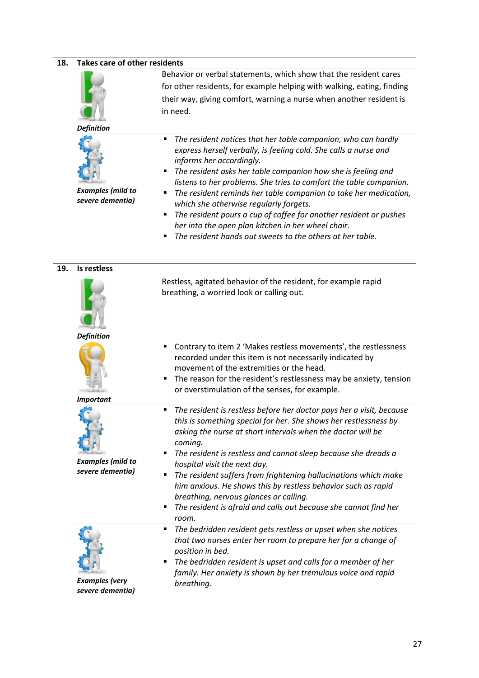| 18. | <b>Takes care of other residents</b>         |                                                                                                                                                                                                                                                                                                                                                                                                                                                                                                                                                                                                                                    |  |
|-----|----------------------------------------------|------------------------------------------------------------------------------------------------------------------------------------------------------------------------------------------------------------------------------------------------------------------------------------------------------------------------------------------------------------------------------------------------------------------------------------------------------------------------------------------------------------------------------------------------------------------------------------------------------------------------------------|--|
|     | <b>Definition</b>                            | Behavior or verbal statements, which show that the resident cares<br>for other residents, for example helping with walking, eating, finding<br>their way, giving comfort, warning a nurse when another resident is<br>in need.                                                                                                                                                                                                                                                                                                                                                                                                     |  |
|     | <b>Examples (mild to</b><br>severe dementia) | The resident notices that her table companion, who can hardly<br>п<br>express herself verbally, is feeling cold. She calls a nurse and<br>informs her accordingly.<br>The resident asks her table companion how she is feeling and<br>٠<br>listens to her problems. She tries to comfort the table companion.<br>The resident reminds her table companion to take her medication,<br>п<br>which she otherwise regularly forgets.<br>The resident pours a cup of coffee for another resident or pushes<br>٠<br>her into the open plan kitchen in her wheel chair.<br>The resident hands out sweets to the others at her table.<br>٠ |  |
| 19. | Is restless                                  |                                                                                                                                                                                                                                                                                                                                                                                                                                                                                                                                                                                                                                    |  |
|     |                                              | Restless, agitated behavior of the resident, for example rapid                                                                                                                                                                                                                                                                                                                                                                                                                                                                                                                                                                     |  |

| <b>Definition</b>                            | Restless, agitated behavior of the resident, for example rapid<br>breathing, a worried look or calling out.                                                                                                                                                                                                                                                                                                                                                                                                                                                                                            |
|----------------------------------------------|--------------------------------------------------------------------------------------------------------------------------------------------------------------------------------------------------------------------------------------------------------------------------------------------------------------------------------------------------------------------------------------------------------------------------------------------------------------------------------------------------------------------------------------------------------------------------------------------------------|
| <b>Important</b>                             | Contrary to item 2 'Makes restless movements', the restlessness<br>٠<br>recorded under this item is not necessarily indicated by<br>movement of the extremities or the head.<br>The reason for the resident's restlessness may be anxiety, tension<br>or overstimulation of the senses, for example.                                                                                                                                                                                                                                                                                                   |
| <b>Examples (mild to</b><br>severe dementia) | The resident is restless before her doctor pays her a visit, because<br>٠<br>this is something special for her. She shows her restlessness by<br>asking the nurse at short intervals when the doctor will be<br>coming.<br>The resident is restless and cannot sleep because she dreads a<br>hospital visit the next day.<br>The resident suffers from frightening hallucinations which make<br>$\blacksquare$<br>him anxious. He shows this by restless behavior such as rapid<br>breathing, nervous glances or calling.<br>The resident is afraid and calls out because she cannot find her<br>room. |
| <b>Examples</b> (very<br>severe dementia)    | The bedridden resident gets restless or upset when she notices<br>٠<br>that two nurses enter her room to prepare her for a change of<br>position in bed.<br>The bedridden resident is upset and calls for a member of her<br>٠<br>family. Her anxiety is shown by her tremulous voice and rapid<br>breathing.                                                                                                                                                                                                                                                                                          |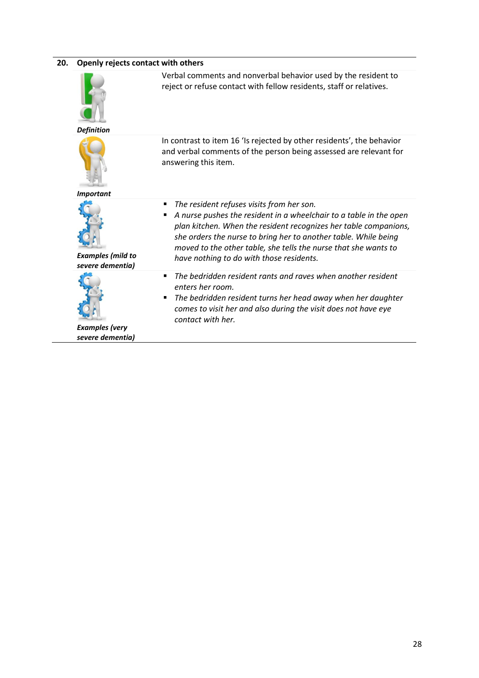| 20. | Openly rejects contact with others           |                                                                                                                                                                                                                                                                                                                                                                                 |  |
|-----|----------------------------------------------|---------------------------------------------------------------------------------------------------------------------------------------------------------------------------------------------------------------------------------------------------------------------------------------------------------------------------------------------------------------------------------|--|
|     | <b>Definition</b>                            | Verbal comments and nonverbal behavior used by the resident to<br>reject or refuse contact with fellow residents, staff or relatives.                                                                                                                                                                                                                                           |  |
|     |                                              | In contrast to item 16 'Is rejected by other residents', the behavior<br>and verbal comments of the person being assessed are relevant for<br>answering this item.                                                                                                                                                                                                              |  |
|     | <b>Important</b>                             |                                                                                                                                                                                                                                                                                                                                                                                 |  |
|     | <b>Examples (mild to</b><br>severe dementia) | The resident refuses visits from her son.<br>٠<br>A nurse pushes the resident in a wheelchair to a table in the open<br>п<br>plan kitchen. When the resident recognizes her table companions,<br>she orders the nurse to bring her to another table. While being<br>moved to the other table, she tells the nurse that she wants to<br>have nothing to do with those residents. |  |
|     | <b>Examples</b> (very<br>severe dementia)    | The bedridden resident rants and raves when another resident<br>٠<br>enters her room.<br>The bedridden resident turns her head away when her daughter<br>п<br>comes to visit her and also during the visit does not have eye<br>contact with her.                                                                                                                               |  |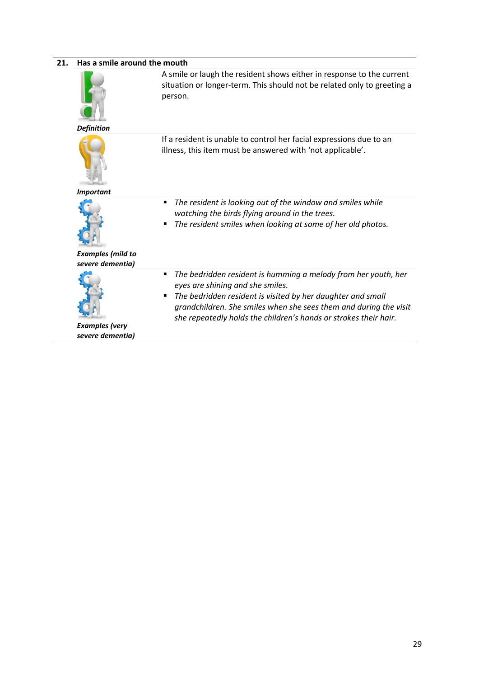| 21. | Has a smile around the mouth                 |                                                                                                                                                                                                                                                                                                                      |
|-----|----------------------------------------------|----------------------------------------------------------------------------------------------------------------------------------------------------------------------------------------------------------------------------------------------------------------------------------------------------------------------|
|     | <b>Definition</b>                            | A smile or laugh the resident shows either in response to the current<br>situation or longer-term. This should not be related only to greeting a<br>person.                                                                                                                                                          |
|     | <b>Important</b>                             | If a resident is unable to control her facial expressions due to an<br>illness, this item must be answered with 'not applicable'.                                                                                                                                                                                    |
|     | <b>Examples (mild to</b><br>severe dementia) | The resident is looking out of the window and smiles while<br>٠<br>watching the birds flying around in the trees.<br>The resident smiles when looking at some of her old photos.                                                                                                                                     |
|     | <b>Examples (very</b><br>severe dementia)    | The bedridden resident is humming a melody from her youth, her<br>٠<br>eyes are shining and she smiles.<br>The bedridden resident is visited by her daughter and small<br>٠<br>grandchildren. She smiles when she sees them and during the visit<br>she repeatedly holds the children's hands or strokes their hair. |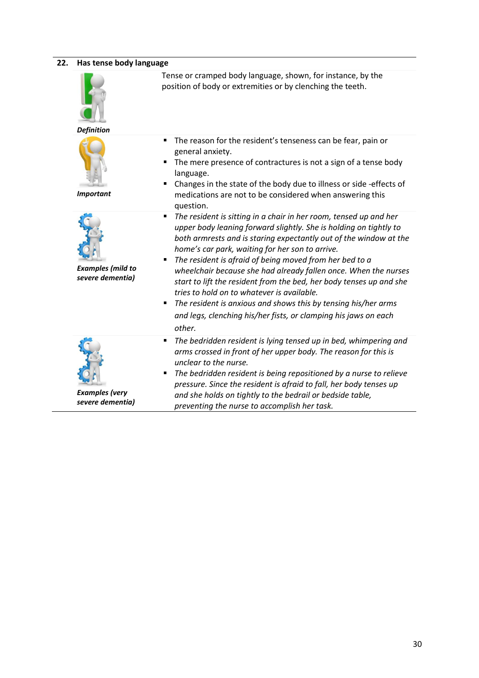#### **22. Has tense body language** *Definition* Tense or cramped body language, shown, for instance, by the position of body or extremities or by clenching the teeth. *Important* The reason for the resident's tenseness can be fear, pain or general anxiety. The mere presence of contractures is not a sign of a tense body language. Changes in the state of the body due to illness or side -effects of medications are not to be considered when answering this question. *Examples (mild to severe dementia) The resident is sitting in a chair in her room, tensed up and her upper body leaning forward slightly. She is holding on tightly to both armrests and is staring expectantly out of the window at the home's car park, waiting for her son to arrive. The resident is afraid of being moved from her bed to a wheelchair because she had already fallen once. When the nurses start to lift the resident from the bed, her body tenses up and she tries to hold on to whatever is available. The resident is anxious and shows this by tensing his/her arms and legs, clenching his/her fists, or clamping his jaws on each other. Examples (very The bedridden resident is lying tensed up in bed, whimpering and arms crossed in front of her upper body. The reason for this is unclear to the nurse. The bedridden resident is being repositioned by a nurse to relieve pressure. Since the resident is afraid to fall, her body tenses up and she holds on tightly to the bedrail or bedside table,*

*preventing the nurse to accomplish her task.*

*severe dementia)*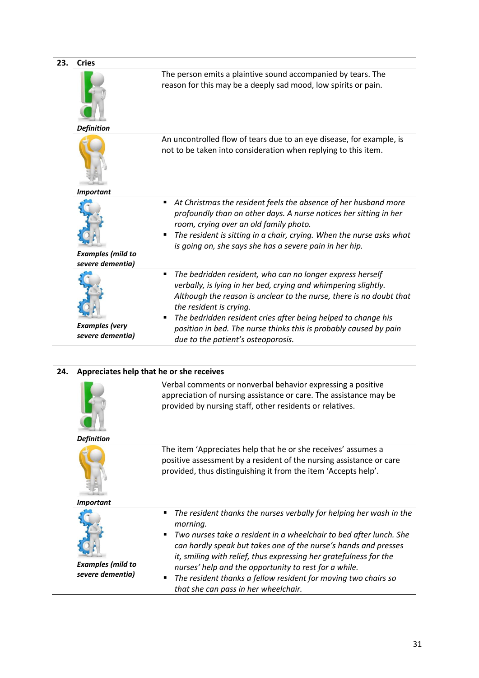| Cries                                        |                                                                                                                                                                                                                                                                                                                                                                                                                |
|----------------------------------------------|----------------------------------------------------------------------------------------------------------------------------------------------------------------------------------------------------------------------------------------------------------------------------------------------------------------------------------------------------------------------------------------------------------------|
|                                              | The person emits a plaintive sound accompanied by tears. The<br>reason for this may be a deeply sad mood, low spirits or pain.                                                                                                                                                                                                                                                                                 |
|                                              |                                                                                                                                                                                                                                                                                                                                                                                                                |
|                                              | An uncontrolled flow of tears due to an eye disease, for example, is<br>not to be taken into consideration when replying to this item.                                                                                                                                                                                                                                                                         |
|                                              |                                                                                                                                                                                                                                                                                                                                                                                                                |
| <b>Examples (mild to</b><br>severe dementia) | At Christmas the resident feels the absence of her husband more<br>п<br>profoundly than on other days. A nurse notices her sitting in her<br>room, crying over an old family photo.<br>The resident is sitting in a chair, crying. When the nurse asks what<br>is going on, she says she has a severe pain in her hip.                                                                                         |
| <b>Examples</b> (very<br>severe dementia)    | The bedridden resident, who can no longer express herself<br>п<br>verbally, is lying in her bed, crying and whimpering slightly.<br>Although the reason is unclear to the nurse, there is no doubt that<br>the resident is crying.<br>The bedridden resident cries after being helped to change his<br>position in bed. The nurse thinks this is probably caused by pain<br>due to the patient's osteoporosis. |
|                                              | <b>Definition</b><br><b>Important</b>                                                                                                                                                                                                                                                                                                                                                                          |

### **24. Appreciates help that he or she receives**



Verbal comments or nonverbal behavior expressing a positive appreciation of nursing assistance or care. The assistance may be provided by nursing staff, other residents or relatives.

#### *Definition*



The item 'Appreciates help that he or she receives' assumes a positive assessment by a resident of the nursing assistance or care provided, thus distinguishing it from the item 'Accepts help'.

#### *Important*



*Examples (mild to severe dementia)*

- *The resident thanks the nurses verbally for helping her wash in the morning.*
- *Two nurses take a resident in a wheelchair to bed after lunch. She can hardly speak but takes one of the nurse's hands and presses it, smiling with relief, thus expressing her gratefulness for the nurses' help and the opportunity to rest for a while.*
- *The resident thanks a fellow resident for moving two chairs so that she can pass in her wheelchair.*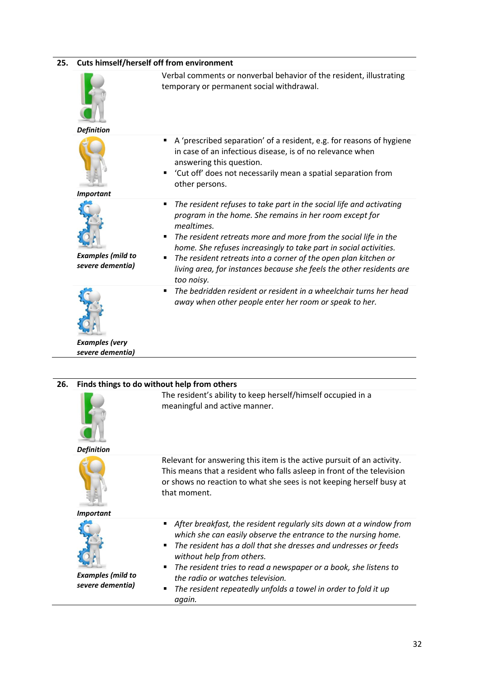| 25. | Cuts himself/herself off from environment    |                                                                                                                                                                                                                                                                                                                                                                                                                                                              |  |
|-----|----------------------------------------------|--------------------------------------------------------------------------------------------------------------------------------------------------------------------------------------------------------------------------------------------------------------------------------------------------------------------------------------------------------------------------------------------------------------------------------------------------------------|--|
|     |                                              | Verbal comments or nonverbal behavior of the resident, illustrating<br>temporary or permanent social withdrawal.                                                                                                                                                                                                                                                                                                                                             |  |
|     | <b>Definition</b>                            |                                                                                                                                                                                                                                                                                                                                                                                                                                                              |  |
|     |                                              | A 'prescribed separation' of a resident, e.g. for reasons of hygiene<br>٠<br>in case of an infectious disease, is of no relevance when<br>answering this question.<br>'Cut off' does not necessarily mean a spatial separation from<br>٠<br>other persons.                                                                                                                                                                                                   |  |
|     | <b>Important</b>                             |                                                                                                                                                                                                                                                                                                                                                                                                                                                              |  |
|     | <b>Examples (mild to</b><br>severe dementia) | The resident refuses to take part in the social life and activating<br>٠<br>program in the home. She remains in her room except for<br>mealtimes.<br>The resident retreats more and more from the social life in the<br>٠<br>home. She refuses increasingly to take part in social activities.<br>The resident retreats into a corner of the open plan kitchen or<br>٠<br>living area, for instances because she feels the other residents are<br>too noisy. |  |
|     | <b>Examples</b> (very<br>severe dementia)    | The bedridden resident or resident in a wheelchair turns her head<br>٠<br>away when other people enter her room or speak to her.                                                                                                                                                                                                                                                                                                                             |  |

| 26. | Finds things to do without help from others  |                                                                                                                                                                                                                                                                                                                                                                                                                                              |  |
|-----|----------------------------------------------|----------------------------------------------------------------------------------------------------------------------------------------------------------------------------------------------------------------------------------------------------------------------------------------------------------------------------------------------------------------------------------------------------------------------------------------------|--|
|     | <b>Definition</b>                            | The resident's ability to keep herself/himself occupied in a<br>meaningful and active manner.                                                                                                                                                                                                                                                                                                                                                |  |
|     | <b>Important</b>                             | Relevant for answering this item is the active pursuit of an activity.<br>This means that a resident who falls asleep in front of the television<br>or shows no reaction to what she sees is not keeping herself busy at<br>that moment.                                                                                                                                                                                                     |  |
|     | <b>Examples (mild to</b><br>severe dementia) | After breakfast, the resident regularly sits down at a window from<br>٠<br>which she can easily observe the entrance to the nursing home.<br>The resident has a doll that she dresses and undresses or feeds<br>п<br>without help from others.<br>The resident tries to read a newspaper or a book, she listens to<br>٠<br>the radio or watches television.<br>The resident repeatedly unfolds a towel in order to fold it up<br>٠<br>again. |  |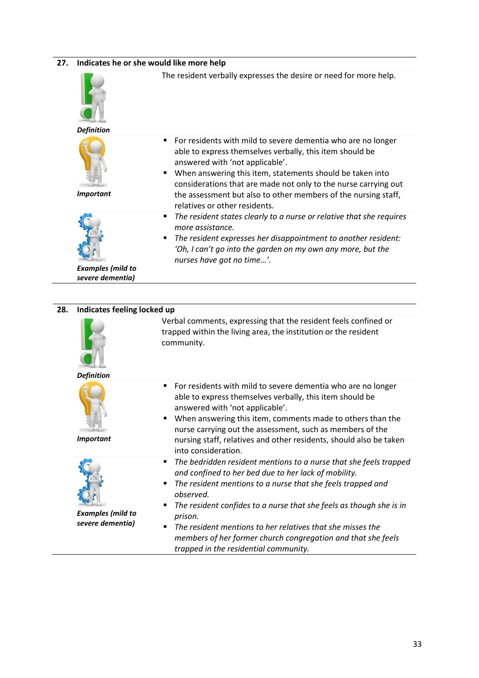#### **27. Indicates he or she would like more help**



| 28. | Indicates feeling locked up                  |                                                                                                                                                                                                                                                                                                                                                                                                                                                                               |  |
|-----|----------------------------------------------|-------------------------------------------------------------------------------------------------------------------------------------------------------------------------------------------------------------------------------------------------------------------------------------------------------------------------------------------------------------------------------------------------------------------------------------------------------------------------------|--|
|     | <b>Definition</b>                            | Verbal comments, expressing that the resident feels confined or<br>trapped within the living area, the institution or the resident<br>community.                                                                                                                                                                                                                                                                                                                              |  |
|     | <b>Important</b>                             | For residents with mild to severe dementia who are no longer<br>$\blacksquare$<br>able to express themselves verbally, this item should be<br>answered with 'not applicable'.<br>When answering this item, comments made to others than the<br>nurse carrying out the assessment, such as members of the<br>nursing staff, relatives and other residents, should also be taken<br>into consideration.                                                                         |  |
|     | <b>Examples (mild to</b><br>severe dementia) | The bedridden resident mentions to a nurse that she feels trapped<br>٠<br>and confined to her bed due to her lack of mobility.<br>The resident mentions to a nurse that she feels trapped and<br>٠<br>observed.<br>The resident confides to a nurse that she feels as though she is in<br>prison.<br>The resident mentions to her relatives that she misses the<br>٠<br>members of her former church congregation and that she feels<br>trapped in the residential community. |  |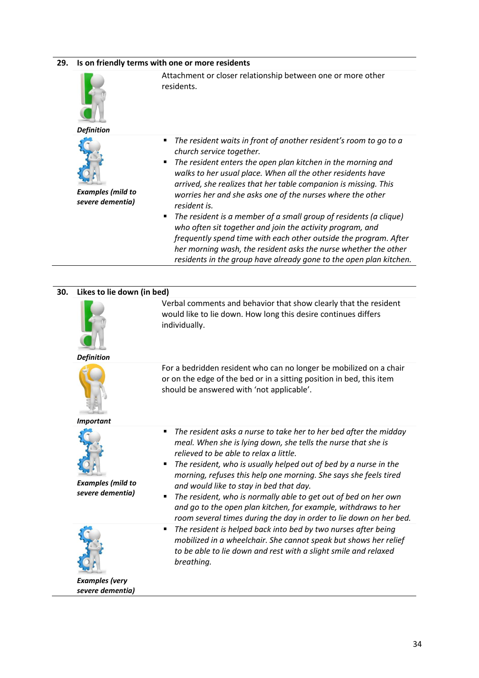#### **29. Is on friendly terms with one or more residents**





*Examples (mild to severe dementia)*

Attachment or closer relationship between one or more other residents.

- *The resident waits in front of another resident's room to go to a church service together.*
- *The resident enters the open plan kitchen in the morning and walks to her usual place. When all the other residents have arrived, she realizes that her table companion is missing. This worries her and she asks one of the nurses where the other resident is.*
- *The resident is a member of a small group of residents (a clique) who often sit together and join the activity program, and frequently spend time with each other outside the program. After her morning wash, the resident asks the nurse whether the other residents in the group have already gone to the open plan kitchen.*

| 30. | Likes to lie down (in bed)                   |                                                                                                                                                                                                                                                                                                                                                                                                                                                                                                                                                                                                                                                                                                                                                                                                                                                                                                                                                         |  |  |  |  |
|-----|----------------------------------------------|---------------------------------------------------------------------------------------------------------------------------------------------------------------------------------------------------------------------------------------------------------------------------------------------------------------------------------------------------------------------------------------------------------------------------------------------------------------------------------------------------------------------------------------------------------------------------------------------------------------------------------------------------------------------------------------------------------------------------------------------------------------------------------------------------------------------------------------------------------------------------------------------------------------------------------------------------------|--|--|--|--|
|     |                                              | Verbal comments and behavior that show clearly that the resident<br>would like to lie down. How long this desire continues differs<br>individually.                                                                                                                                                                                                                                                                                                                                                                                                                                                                                                                                                                                                                                                                                                                                                                                                     |  |  |  |  |
|     | <b>Definition</b>                            |                                                                                                                                                                                                                                                                                                                                                                                                                                                                                                                                                                                                                                                                                                                                                                                                                                                                                                                                                         |  |  |  |  |
|     | <b>Important</b>                             | For a bedridden resident who can no longer be mobilized on a chair<br>or on the edge of the bed or in a sitting position in bed, this item<br>should be answered with 'not applicable'.<br>The resident asks a nurse to take her to her bed after the midday<br>$\blacksquare$<br>meal. When she is lying down, she tells the nurse that she is<br>relieved to be able to relax a little.<br>The resident, who is usually helped out of bed by a nurse in the<br>п<br>morning, refuses this help one morning. She says she feels tired<br>and would like to stay in bed that day.<br>The resident, who is normally able to get out of bed on her own<br>п<br>and go to the open plan kitchen, for example, withdraws to her<br>The resident is helped back into bed by two nurses after being<br>٠<br>mobilized in a wheelchair. She cannot speak but shows her relief<br>to be able to lie down and rest with a slight smile and relaxed<br>breathing. |  |  |  |  |
|     |                                              |                                                                                                                                                                                                                                                                                                                                                                                                                                                                                                                                                                                                                                                                                                                                                                                                                                                                                                                                                         |  |  |  |  |
|     | <b>Examples (mild to</b><br>severe dementia) | room several times during the day in order to lie down on her bed.                                                                                                                                                                                                                                                                                                                                                                                                                                                                                                                                                                                                                                                                                                                                                                                                                                                                                      |  |  |  |  |
|     | <b>Examples</b> (very<br>severe dementia)    |                                                                                                                                                                                                                                                                                                                                                                                                                                                                                                                                                                                                                                                                                                                                                                                                                                                                                                                                                         |  |  |  |  |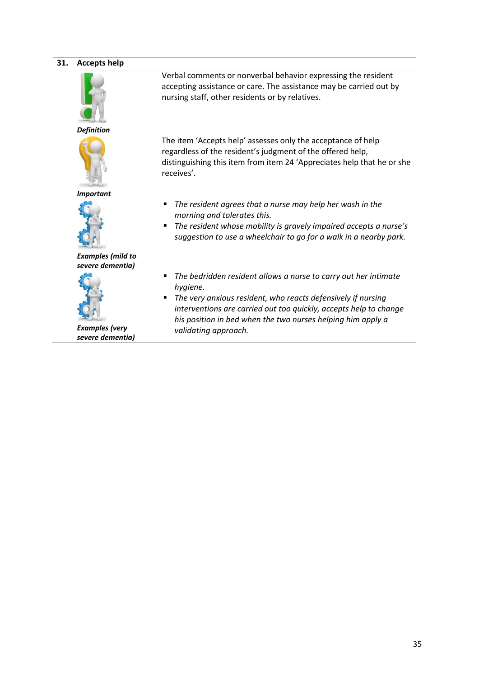| 31. | <b>Accepts help</b>                          |                                                                                                                                                                                                                                                                                                              |
|-----|----------------------------------------------|--------------------------------------------------------------------------------------------------------------------------------------------------------------------------------------------------------------------------------------------------------------------------------------------------------------|
|     | <b>Definition</b>                            | Verbal comments or nonverbal behavior expressing the resident<br>accepting assistance or care. The assistance may be carried out by<br>nursing staff, other residents or by relatives.                                                                                                                       |
|     | <b>Important</b>                             | The item 'Accepts help' assesses only the acceptance of help<br>regardless of the resident's judgment of the offered help,<br>distinguishing this item from item 24 'Appreciates help that he or she<br>receives'.                                                                                           |
|     | <b>Examples (mild to</b><br>severe dementia) | The resident agrees that a nurse may help her wash in the<br>٠<br>morning and tolerates this.<br>The resident whose mobility is gravely impaired accepts a nurse's<br>suggestion to use a wheelchair to go for a walk in a nearby park.                                                                      |
|     | <b>Examples</b> (very<br>severe dementia)    | The bedridden resident allows a nurse to carry out her intimate<br>٠<br>hygiene.<br>The very anxious resident, who reacts defensively if nursing<br>interventions are carried out too quickly, accepts help to change<br>his position in bed when the two nurses helping him apply a<br>validating approach. |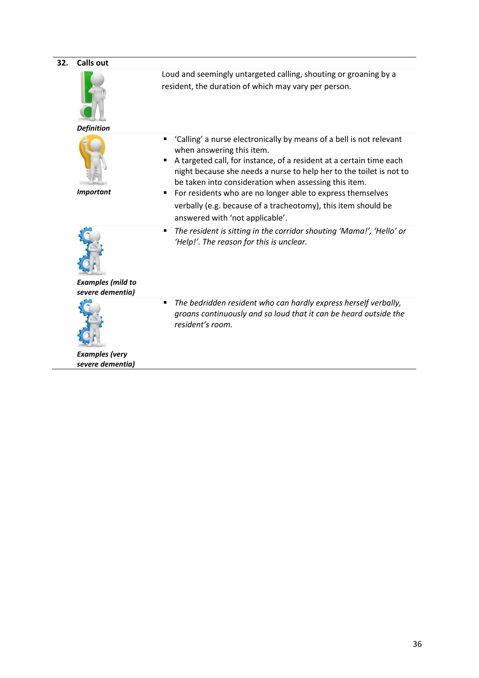| 32. | <b>Calls out</b>                             |                                                                                                                                                                                                                                                                                                                                                                                                                                                                                          |
|-----|----------------------------------------------|------------------------------------------------------------------------------------------------------------------------------------------------------------------------------------------------------------------------------------------------------------------------------------------------------------------------------------------------------------------------------------------------------------------------------------------------------------------------------------------|
|     | <b>Definition</b>                            | Loud and seemingly untargeted calling, shouting or groaning by a<br>resident, the duration of which may vary per person.                                                                                                                                                                                                                                                                                                                                                                 |
|     | <b>Important</b>                             | 'Calling' a nurse electronically by means of a bell is not relevant<br>٠<br>when answering this item.<br>A targeted call, for instance, of a resident at a certain time each<br>٠<br>night because she needs a nurse to help her to the toilet is not to<br>be taken into consideration when assessing this item.<br>For residents who are no longer able to express themselves<br>٠<br>verbally (e.g. because of a tracheotomy), this item should be<br>answered with 'not applicable'. |
|     | <b>Examples (mild to</b><br>severe dementia) | The resident is sitting in the corridor shouting 'Mama!', 'Hello' or<br>٠<br>'Help!'. The reason for this is unclear.                                                                                                                                                                                                                                                                                                                                                                    |
|     | <b>Examples</b> (very<br>severe dementia)    | The bedridden resident who can hardly express herself verbally,<br>٠<br>groans continuously and so loud that it can be heard outside the<br>resident's room.                                                                                                                                                                                                                                                                                                                             |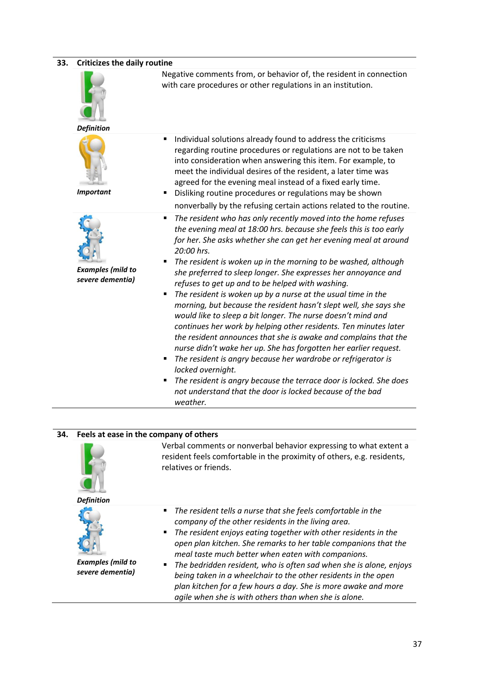#### **33. Criticizes the daily routine**



Negative comments from, or behavior of, the resident in connection with care procedures or other regulations in an institution.



*Definition*

*Important*



*Examples (mild to severe dementia)*

- Individual solutions already found to address the criticisms regarding routine procedures or regulations are not to be taken into consideration when answering this item. For example, to meet the individual desires of the resident, a later time was agreed for the evening meal instead of a fixed early time.
- Disliking routine procedures or regulations may be shown nonverbally by the refusing certain actions related to the routine.
- *The resident who has only recently moved into the home refuses the evening meal at 18:00 hrs. because she feels this is too early for her. She asks whether she can get her evening meal at around 20:00 hrs.*
- *The resident is woken up in the morning to be washed, although she preferred to sleep longer. She expresses her annoyance and refuses to get up and to be helped with washing.*
- *The resident is woken up by a nurse at the usual time in the morning, but because the resident hasn't slept well, she says she would like to sleep a bit longer. The nurse doesn't mind and continues her work by helping other residents. Ten minutes later the resident announces that she is awake and complains that the nurse didn't wake her up. She has forgotten her earlier request.*
- *The resident is angry because her wardrobe or refrigerator is locked overnight.*
- *The resident is angry because the terrace door is locked. She does not understand that the door is locked because of the bad weather.*

#### **34. Feels at ease in the company of others**



Verbal comments or nonverbal behavior expressing to what extent a resident feels comfortable in the proximity of others, e.g. residents, relatives or friends.

*Definition*



- *The resident tells a nurse that she feels comfortable in the company of the other residents in the living area.*
- *The resident enjoys eating together with other residents in the open plan kitchen. She remarks to her table companions that the meal taste much better when eaten with companions.*

*Examples (mild to severe dementia)*

 *The bedridden resident, who is often sad when she is alone, enjoys being taken in a wheelchair to the other residents in the open plan kitchen for a few hours a day. She is more awake and more agile when she is with others than when she is alone.*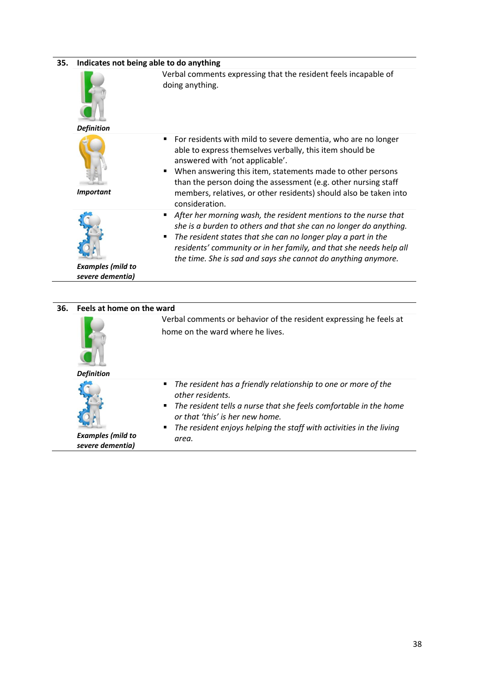| 35. | Indicates not being able to do anything      |                                                                                                                                                                                                                                                                                                                                                                                          |  |  |  |  |
|-----|----------------------------------------------|------------------------------------------------------------------------------------------------------------------------------------------------------------------------------------------------------------------------------------------------------------------------------------------------------------------------------------------------------------------------------------------|--|--|--|--|
|     | <b>Definition</b>                            | Verbal comments expressing that the resident feels incapable of<br>doing anything.                                                                                                                                                                                                                                                                                                       |  |  |  |  |
|     | <b>Important</b>                             | For residents with mild to severe dementia, who are no longer<br>٠<br>able to express themselves verbally, this item should be<br>answered with 'not applicable'.<br>When answering this item, statements made to other persons<br>than the person doing the assessment (e.g. other nursing staff<br>members, relatives, or other residents) should also be taken into<br>consideration. |  |  |  |  |
|     | <b>Examples (mild to</b><br>severe dementia) | After her morning wash, the resident mentions to the nurse that<br>٠<br>she is a burden to others and that she can no longer do anything.<br>The resident states that she can no longer play a part in the<br>п<br>residents' community or in her family, and that she needs help all<br>the time. She is sad and says she cannot do anything anymore.                                   |  |  |  |  |
|     |                                              |                                                                                                                                                                                                                                                                                                                                                                                          |  |  |  |  |
| 36. | Feels at home on the ward                    |                                                                                                                                                                                                                                                                                                                                                                                          |  |  |  |  |
|     | <b>Definition</b>                            | Verbal comments or behavior of the resident expressing he feels at<br>home on the ward where he lives.                                                                                                                                                                                                                                                                                   |  |  |  |  |
|     |                                              | The resident has a friendly relationship to one or more of the<br>٠                                                                                                                                                                                                                                                                                                                      |  |  |  |  |
|     |                                              | other residents.<br>The resident tells a nurse that she feels comfortable in the home<br>or that 'this' is her new home.<br>The resident enjoys helping the staff with activities in the living                                                                                                                                                                                          |  |  |  |  |

*Examples (mild to severe dementia)*

*area.*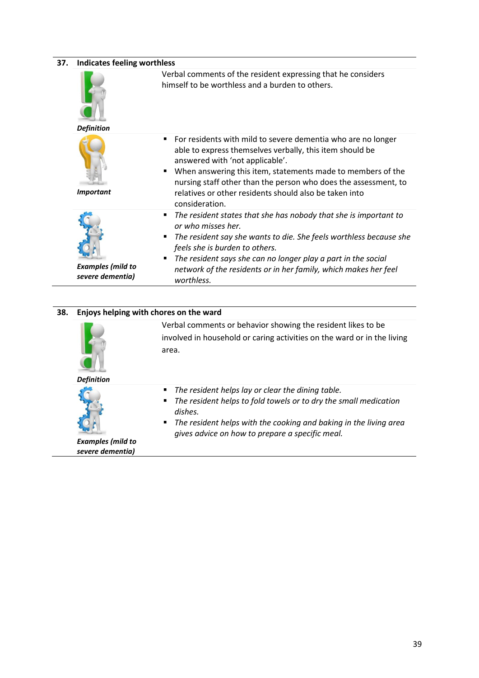| 37. | <b>Indicates feeling worthless</b>           |                                                                                                                                                                                                                                                                                                                                                                                     |  |  |  |
|-----|----------------------------------------------|-------------------------------------------------------------------------------------------------------------------------------------------------------------------------------------------------------------------------------------------------------------------------------------------------------------------------------------------------------------------------------------|--|--|--|
|     | <b>Definition</b>                            | Verbal comments of the resident expressing that he considers<br>himself to be worthless and a burden to others.                                                                                                                                                                                                                                                                     |  |  |  |
|     | <b>Important</b>                             | For residents with mild to severe dementia who are no longer<br>٠<br>able to express themselves verbally, this item should be<br>answered with 'not applicable'.<br>When answering this item, statements made to members of the<br>٠<br>nursing staff other than the person who does the assessment, to<br>relatives or other residents should also be taken into<br>consideration. |  |  |  |
|     | <b>Examples (mild to</b><br>severe dementia) | The resident states that she has nobody that she is important to<br>٠<br>or who misses her.<br>The resident say she wants to die. She feels worthless because she<br>٠<br>feels she is burden to others.<br>The resident says she can no longer play a part in the social<br>п<br>network of the residents or in her family, which makes her feel<br>worthless.                     |  |  |  |
| 38. | Enjoys helping with chores on the ward       |                                                                                                                                                                                                                                                                                                                                                                                     |  |  |  |
|     | <b>Definition</b>                            | Verbal comments or behavior showing the resident likes to be<br>involved in household or caring activities on the ward or in the living<br>area.                                                                                                                                                                                                                                    |  |  |  |
|     |                                              | The resident helps lay or clear the dining table.<br>٠<br>The resident helps to fold towels or to dry the small medication<br>п<br>dishes.<br>The resident helps with the cooking and baking in the living area<br>٠<br>gives advice on how to prepare a specific meal.                                                                                                             |  |  |  |

*Examples (mild to severe dementia)*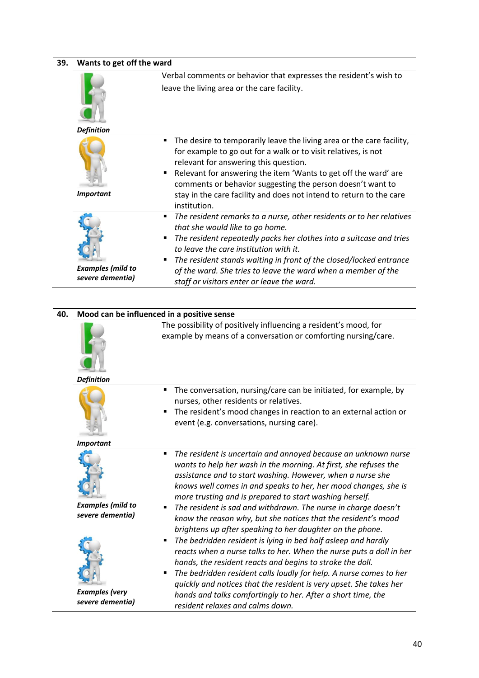| 39. | Wants to get off the ward                    |                                                                                                                                                                                                                                                                                                                                                                                                                                                                   |  |  |  |  |  |
|-----|----------------------------------------------|-------------------------------------------------------------------------------------------------------------------------------------------------------------------------------------------------------------------------------------------------------------------------------------------------------------------------------------------------------------------------------------------------------------------------------------------------------------------|--|--|--|--|--|
|     |                                              | Verbal comments or behavior that expresses the resident's wish to                                                                                                                                                                                                                                                                                                                                                                                                 |  |  |  |  |  |
|     |                                              | leave the living area or the care facility.                                                                                                                                                                                                                                                                                                                                                                                                                       |  |  |  |  |  |
|     | <b>Definition</b>                            |                                                                                                                                                                                                                                                                                                                                                                                                                                                                   |  |  |  |  |  |
|     | <b>Important</b>                             | The desire to temporarily leave the living area or the care facility,<br>٠<br>for example to go out for a walk or to visit relatives, is not<br>relevant for answering this question.<br>Relevant for answering the item 'Wants to get off the ward' are<br>٠<br>comments or behavior suggesting the person doesn't want to<br>stay in the care facility and does not intend to return to the care<br>institution.                                                |  |  |  |  |  |
|     |                                              | The resident remarks to a nurse, other residents or to her relatives<br>٠                                                                                                                                                                                                                                                                                                                                                                                         |  |  |  |  |  |
|     | <b>Examples (mild to</b><br>severe dementia) | that she would like to go home.<br>The resident repeatedly packs her clothes into a suitcase and tries<br>٠<br>to leave the care institution with it.<br>The resident stands waiting in front of the closed/locked entrance<br>٠<br>of the ward. She tries to leave the ward when a member of the<br>staff or visitors enter or leave the ward.                                                                                                                   |  |  |  |  |  |
|     |                                              |                                                                                                                                                                                                                                                                                                                                                                                                                                                                   |  |  |  |  |  |
|     |                                              |                                                                                                                                                                                                                                                                                                                                                                                                                                                                   |  |  |  |  |  |
| 40. | Mood can be influenced in a positive sense   |                                                                                                                                                                                                                                                                                                                                                                                                                                                                   |  |  |  |  |  |
|     |                                              | The possibility of positively influencing a resident's mood, for<br>example by means of a conversation or comforting nursing/care.                                                                                                                                                                                                                                                                                                                                |  |  |  |  |  |
|     | <b>Definition</b>                            | ٠                                                                                                                                                                                                                                                                                                                                                                                                                                                                 |  |  |  |  |  |
|     | <b>Important</b>                             | The conversation, nursing/care can be initiated, for example, by<br>nurses, other residents or relatives.<br>The resident's mood changes in reaction to an external action or<br>event (e.g. conversations, nursing care).                                                                                                                                                                                                                                        |  |  |  |  |  |
|     |                                              | The resident is uncertain and annoyed because an unknown nurse<br>٠                                                                                                                                                                                                                                                                                                                                                                                               |  |  |  |  |  |
|     | <b>Examples (mild to</b><br>severe dementia) | wants to help her wash in the morning. At first, she refuses the<br>assistance and to start washing. However, when a nurse she<br>knows well comes in and speaks to her, her mood changes, she is<br>more trusting and is prepared to start washing herself.<br>The resident is sad and withdrawn. The nurse in charge doesn't<br>٠<br>know the reason why, but she notices that the resident's mood<br>brightens up after speaking to her daughter on the phone. |  |  |  |  |  |
|     |                                              | The bedridden resident is lying in bed half asleep and hardly<br>٠                                                                                                                                                                                                                                                                                                                                                                                                |  |  |  |  |  |
|     | <b>Examples</b> (very                        | reacts when a nurse talks to her. When the nurse puts a doll in her<br>hands, the resident reacts and begins to stroke the doll.<br>The bedridden resident calls loudly for help. A nurse comes to her<br>п<br>quickly and notices that the resident is very upset. She takes her<br>hands and talks comfortingly to her. After a short time, the                                                                                                                 |  |  |  |  |  |
|     | severe dementia)                             | resident relaxes and calms down.                                                                                                                                                                                                                                                                                                                                                                                                                                  |  |  |  |  |  |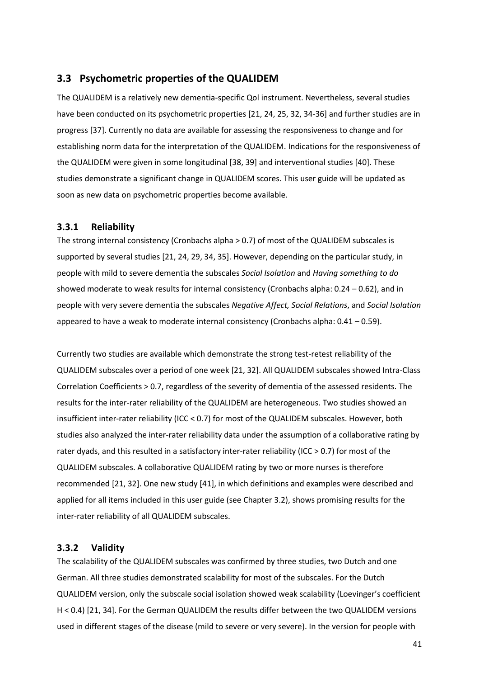#### <span id="page-40-0"></span>**3.3 Psychometric properties of the QUALIDEM**

The QUALIDEM is a relatively new dementia-specific Qol instrument. Nevertheless, several studies have been conducted on its psychometric properties [\[21,](#page-44-6) [24,](#page-44-9) [25,](#page-44-10) [32,](#page-45-5) [34-36\]](#page-45-7) and further studies are in progress [\[37\]](#page-45-8). Currently no data are available for assessing the responsiveness to change and for establishing norm data for the interpretation of the QUALIDEM. Indications for the responsiveness of the QUALIDEM were given in some longitudinal [\[38,](#page-46-0) [39\]](#page-46-1) and interventional studies [\[40\]](#page-46-2). These studies demonstrate a significant change in QUALIDEM scores. This user guide will be updated as soon as new data on psychometric properties become available.

#### <span id="page-40-1"></span>**3.3.1 Reliability**

The strong internal consistency (Cronbachs alpha > 0.7) of most of the QUALIDEM subscales is supported by several studies [\[21,](#page-44-6) [24,](#page-44-9) [29,](#page-45-2) [34,](#page-45-7) [35\]](#page-45-9). However, depending on the particular study, in people with mild to severe dementia the subscales *Social Isolation* and *Having something to do* showed moderate to weak results for internal consistency (Cronbachs alpha: 0.24 – 0.62), and in people with very severe dementia the subscales *Negative Affect, Social Relations*, and *Social Isolation* appeared to have a weak to moderate internal consistency (Cronbachs alpha: 0.41 – 0.59).

Currently two studies are available which demonstrate the strong test-retest reliability of the QUALIDEM subscales over a period of one week [\[21,](#page-44-6) [32\]](#page-45-5). All QUALIDEM subscales showed Intra-Class Correlation Coefficients > 0.7, regardless of the severity of dementia of the assessed residents. The results for the inter-rater reliability of the QUALIDEM are heterogeneous. Two studies showed an insufficient inter-rater reliability (ICC < 0.7) for most of the QUALIDEM subscales. However, both studies also analyzed the inter-rater reliability data under the assumption of a collaborative rating by rater dyads, and this resulted in a satisfactory inter-rater reliability (ICC > 0.7) for most of the QUALIDEM subscales. A collaborative QUALIDEM rating by two or more nurses is therefore recommended [\[21,](#page-44-6) [32\]](#page-45-5). One new study [\[41\]](#page-46-3), in which definitions and examples were described and applied for all items included in this user guide (see Chapter 3.2), shows promising results for the inter-rater reliability of all QUALIDEM subscales.

#### <span id="page-40-2"></span>**3.3.2 Validity**

The scalability of the QUALIDEM subscales was confirmed by three studies, two Dutch and one German. All three studies demonstrated scalability for most of the subscales. For the Dutch QUALIDEM version, only the subscale social isolation showed weak scalability (Loevinger's coefficient H < 0.4) [\[21,](#page-44-6) [34\]](#page-45-7). For the German QUALIDEM the results differ between the two QUALIDEM versions used in different stages of the disease (mild to severe or very severe). In the version for people with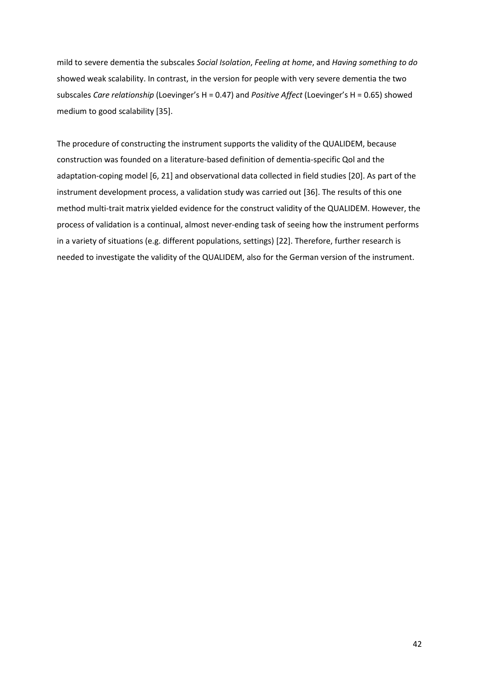mild to severe dementia the subscales *Social Isolation*, *Feeling at home*, and *Having something to do* showed weak scalability. In contrast, in the version for people with very severe dementia the two subscales *Care relationship* (Loevinger's H = 0.47) and *Positive Affect* (Loevinger's H = 0.65) showed medium to good scalability [\[35\]](#page-45-9).

The procedure of constructing the instrument supports the validity of the QUALIDEM, because construction was founded on a literature-based definition of dementia-specific Qol and the adaptation-coping model [\[6,](#page-43-6) [21\]](#page-44-6) and observational data collected in field studies [\[20\]](#page-44-5). As part of the instrument development process, a validation study was carried out [\[36\]](#page-45-10). The results of this one method multi-trait matrix yielded evidence for the construct validity of the QUALIDEM. However, the process of validation is a continual, almost never-ending task of seeing how the instrument performs in a variety of situations (e.g. different populations, settings) [\[22\]](#page-44-7). Therefore, further research is needed to investigate the validity of the QUALIDEM, also for the German version of the instrument.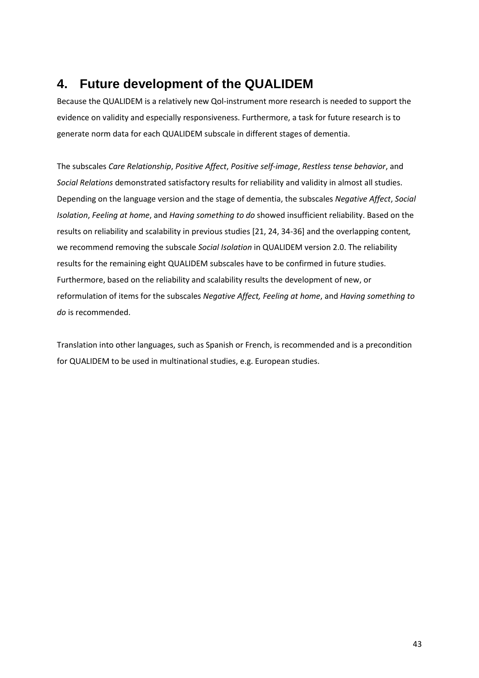# <span id="page-42-0"></span>**4. Future development of the QUALIDEM**

Because the QUALIDEM is a relatively new Qol-instrument more research is needed to support the evidence on validity and especially responsiveness. Furthermore, a task for future research is to generate norm data for each QUALIDEM subscale in different stages of dementia.

The subscales *Care Relationship*, *Positive Affect*, *Positive self-image*, *Restless tense behavior*, and *Social Relations* demonstrated satisfactory results for reliability and validity in almost all studies. Depending on the language version and the stage of dementia, the subscales *Negative Affect*, *Social Isolation*, *Feeling at home*, and *Having something to do* showed insufficient reliability. Based on the results on reliability and scalability in previous studies [\[21,](#page-44-6) [24,](#page-44-9) [34-36\]](#page-45-7) and the overlapping content*,* we recommend removing the subscale *Social Isolation* in QUALIDEM version 2.0. The reliability results for the remaining eight QUALIDEM subscales have to be confirmed in future studies. Furthermore, based on the reliability and scalability results the development of new, or reformulation of items for the subscales *Negative Affect, Feeling at home*, and *Having something to do* is recommended.

Translation into other languages, such as Spanish or French, is recommended and is a precondition for QUALIDEM to be used in multinational studies, e.g. European studies.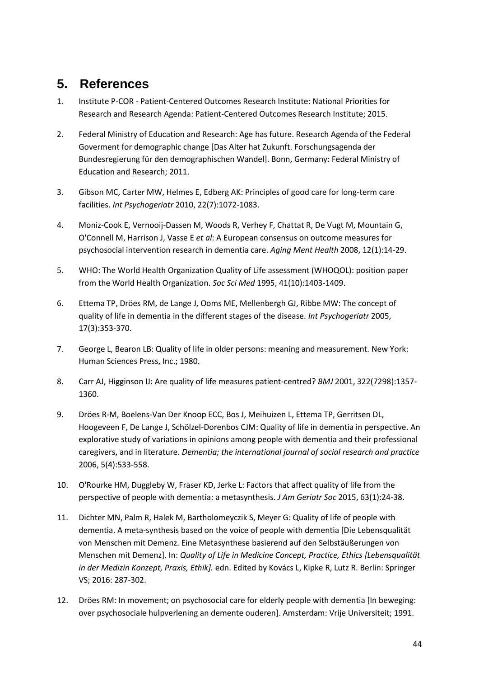# <span id="page-43-0"></span>**5. References**

- <span id="page-43-1"></span>1. Institute P-COR - Patient-Centered Outcomes Research Institute: National Priorities for Research and Research Agenda: Patient-Centered Outcomes Research Institute; 2015.
- <span id="page-43-2"></span>2. Federal Ministry of Education and Research: Age has future. Research Agenda of the Federal Goverment for demographic change [Das Alter hat Zukunft. Forschungsagenda der Bundesregierung für den demographischen Wandel]. Bonn, Germany: Federal Ministry of Education and Research; 2011.
- <span id="page-43-3"></span>3. Gibson MC, Carter MW, Helmes E, Edberg AK: Principles of good care for long-term care facilities. *Int Psychogeriatr* 2010, 22(7):1072-1083.
- <span id="page-43-4"></span>4. Moniz-Cook E, Vernooij-Dassen M, Woods R, Verhey F, Chattat R, De Vugt M, Mountain G, O'Connell M, Harrison J, Vasse E *et al*: A European consensus on outcome measures for psychosocial intervention research in dementia care. *Aging Ment Health* 2008, 12(1):14-29.
- <span id="page-43-5"></span>5. WHO: The World Health Organization Quality of Life assessment (WHOQOL): position paper from the World Health Organization. *Soc Sci Med* 1995, 41(10):1403-1409.
- <span id="page-43-6"></span>6. Ettema TP, Dröes RM, de Lange J, Ooms ME, Mellenbergh GJ, Ribbe MW: The concept of quality of life in dementia in the different stages of the disease. *Int Psychogeriatr* 2005, 17(3):353-370.
- <span id="page-43-7"></span>7. George L, Bearon LB: Quality of life in older persons: meaning and measurement. New York: Human Sciences Press, Inc.; 1980.
- <span id="page-43-8"></span>8. Carr AJ, Higginson IJ: Are quality of life measures patient-centred? *BMJ* 2001, 322(7298):1357- 1360.
- <span id="page-43-9"></span>9. Dröes R-M, Boelens-Van Der Knoop ECC, Bos J, Meihuizen L, Ettema TP, Gerritsen DL, Hoogeveen F, De Lange J, Schölzel-Dorenbos CJM: Quality of life in dementia in perspective. An explorative study of variations in opinions among people with dementia and their professional caregivers, and in literature. *Dementia; the international journal of social research and practice*  2006, 5(4):533-558.
- <span id="page-43-10"></span>10. O'Rourke HM, Duggleby W, Fraser KD, Jerke L: Factors that affect quality of life from the perspective of people with dementia: a metasynthesis. *J Am Geriatr Soc* 2015, 63(1):24-38.
- <span id="page-43-11"></span>11. Dichter MN, Palm R, Halek M, Bartholomeyczik S, Meyer G: Quality of life of people with dementia. A meta-synthesis based on the voice of people with dementia [Die Lebensqualität von Menschen mit Demenz. Eine Metasynthese basierend auf den Selbstäußerungen von Menschen mit Demenz]. In: *Quality of Life in Medicine Concept, Practice, Ethics [Lebensqualität in der Medizin Konzept, Praxis, Ethik].* edn. Edited by Kovács L, Kipke R, Lutz R. Berlin: Springer VS; 2016: 287-302.
- <span id="page-43-12"></span>12. Dröes RM: In movement; on psychosocial care for elderly people with dementia [In beweging: over psychosociale hulpverlening an demente ouderen]. Amsterdam: Vrije Universiteit; 1991.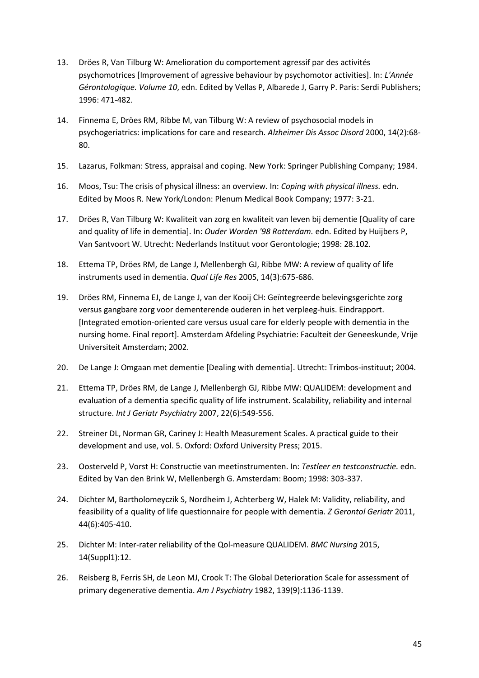- 13. Dröes R, Van Tilburg W: Amelioration du comportement agressif par des activités psychomotrices [Improvement of agressive behaviour by psychomotor activities]. In: *L'Année Gérontologique. Volume 10*, edn. Edited by Vellas P, Albarede J, Garry P. Paris: Serdi Publishers; 1996: 471-482.
- 14. Finnema E, Dröes RM, Ribbe M, van Tilburg W: A review of psychosocial models in psychogeriatrics: implications for care and research. *Alzheimer Dis Assoc Disord* 2000, 14(2):68- 80.
- <span id="page-44-0"></span>15. Lazarus, Folkman: Stress, appraisal and coping. New York: Springer Publishing Company; 1984.
- <span id="page-44-1"></span>16. Moos, Tsu: The crisis of physical illness: an overview. In: *Coping with physical illness.* edn. Edited by Moos R. New York/London: Plenum Medical Book Company; 1977: 3-21.
- <span id="page-44-2"></span>17. Dröes R, Van Tilburg W: Kwaliteit van zorg en kwaliteit van leven bij dementie [Quality of care and quality of life in dementia]. In: *Ouder Worden '98 Rotterdam.* edn. Edited by Huijbers P, Van Santvoort W. Utrecht: Nederlands Instituut voor Gerontologie; 1998: 28.102.
- <span id="page-44-3"></span>18. Ettema TP, Dröes RM, de Lange J, Mellenbergh GJ, Ribbe MW: A review of quality of life instruments used in dementia. *Qual Life Res* 2005, 14(3):675-686.
- <span id="page-44-4"></span>19. Dröes RM, Finnema EJ, de Lange J, van der Kooij CH: Geïntegreerde belevingsgerichte zorg versus gangbare zorg voor dementerende ouderen in het verpleeg-huis. Eindrapport. [Integrated emotion-oriented care versus usual care for elderly people with dementia in the nursing home. Final report]. Amsterdam Afdeling Psychiatrie: Faculteit der Geneeskunde, Vrije Universiteit Amsterdam; 2002.
- <span id="page-44-5"></span>20. De Lange J: Omgaan met dementie [Dealing with dementia]. Utrecht: Trimbos-instituut; 2004.
- <span id="page-44-6"></span>21. Ettema TP, Dröes RM, de Lange J, Mellenbergh GJ, Ribbe MW: QUALIDEM: development and evaluation of a dementia specific quality of life instrument. Scalability, reliability and internal structure. *Int J Geriatr Psychiatry* 2007, 22(6):549-556.
- <span id="page-44-7"></span>22. Streiner DL, Norman GR, Cariney J: Health Measurement Scales. A practical guide to their development and use, vol. 5. Oxford: Oxford University Press; 2015.
- <span id="page-44-8"></span>23. Oosterveld P, Vorst H: Constructie van meetinstrumenten. In: *Testleer en testconstructie.* edn. Edited by Van den Brink W, Mellenbergh G. Amsterdam: Boom; 1998: 303-337.
- <span id="page-44-9"></span>24. Dichter M, Bartholomeyczik S, Nordheim J, Achterberg W, Halek M: Validity, reliability, and feasibility of a quality of life questionnaire for people with dementia. *Z Gerontol Geriatr* 2011, 44(6):405-410.
- <span id="page-44-10"></span>25. Dichter M: Inter-rater reliability of the Qol-measure QUALIDEM. *BMC Nursing* 2015, 14(Suppl1):12.
- 26. Reisberg B, Ferris SH, de Leon MJ, Crook T: The Global Deterioration Scale for assessment of primary degenerative dementia. *Am J Psychiatry* 1982, 139(9):1136-1139.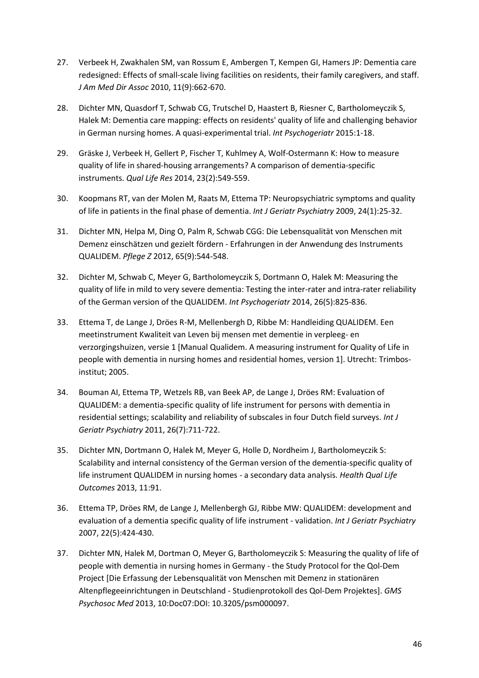- <span id="page-45-0"></span>27. Verbeek H, Zwakhalen SM, van Rossum E, Ambergen T, Kempen GI, Hamers JP: Dementia care redesigned: Effects of small-scale living facilities on residents, their family caregivers, and staff. *J Am Med Dir Assoc* 2010, 11(9):662-670.
- <span id="page-45-1"></span>28. Dichter MN, Quasdorf T, Schwab CG, Trutschel D, Haastert B, Riesner C, Bartholomeyczik S, Halek M: Dementia care mapping: effects on residents' quality of life and challenging behavior in German nursing homes. A quasi-experimental trial. *Int Psychogeriatr* 2015:1-18.
- <span id="page-45-2"></span>29. Gräske J, Verbeek H, Gellert P, Fischer T, Kuhlmey A, Wolf-Ostermann K: How to measure quality of life in shared-housing arrangements? A comparison of dementia-specific instruments. *Qual Life Res* 2014, 23(2):549-559.
- <span id="page-45-3"></span>30. Koopmans RT, van der Molen M, Raats M, Ettema TP: Neuropsychiatric symptoms and quality of life in patients in the final phase of dementia. *Int J Geriatr Psychiatry* 2009, 24(1):25-32.
- <span id="page-45-4"></span>31. Dichter MN, Helpa M, Ding O, Palm R, Schwab CGG: Die Lebensqualität von Menschen mit Demenz einschätzen und gezielt fördern - Erfahrungen in der Anwendung des Instruments QUALIDEM. *Pflege Z* 2012, 65(9):544-548.
- <span id="page-45-5"></span>32. Dichter M, Schwab C, Meyer G, Bartholomeyczik S, Dortmann O, Halek M: Measuring the quality of life in mild to very severe dementia: Testing the inter-rater and intra-rater reliability of the German version of the QUALIDEM. *Int Psychogeriatr* 2014, 26(5):825-836.
- <span id="page-45-6"></span>33. Ettema T, de Lange J, Dröes R-M, Mellenbergh D, Ribbe M: Handleiding QUALIDEM. Een meetinstrument Kwaliteit van Leven bij mensen met dementie in verpleeg- en verzorgingshuizen, versie 1 [Manual Qualidem. A measuring instrument for Quality of Life in people with dementia in nursing homes and residential homes, version 1]. Utrecht: Trimbosinstitut; 2005.
- <span id="page-45-7"></span>34. Bouman AI, Ettema TP, Wetzels RB, van Beek AP, de Lange J, Dröes RM: Evaluation of QUALIDEM: a dementia-specific quality of life instrument for persons with dementia in residential settings; scalability and reliability of subscales in four Dutch field surveys. *Int J Geriatr Psychiatry* 2011, 26(7):711-722.
- <span id="page-45-9"></span>35. Dichter MN, Dortmann O, Halek M, Meyer G, Holle D, Nordheim J, Bartholomeyczik S: Scalability and internal consistency of the German version of the dementia-specific quality of life instrument QUALIDEM in nursing homes - a secondary data analysis. *Health Qual Life Outcomes* 2013, 11:91.
- <span id="page-45-10"></span>36. Ettema TP, Dröes RM, de Lange J, Mellenbergh GJ, Ribbe MW: QUALIDEM: development and evaluation of a dementia specific quality of life instrument - validation. *Int J Geriatr Psychiatry*  2007, 22(5):424-430.
- <span id="page-45-8"></span>37. Dichter MN, Halek M, Dortman O, Meyer G, Bartholomeyczik S: Measuring the quality of life of people with dementia in nursing homes in Germany - the Study Protocol for the Qol-Dem Project [Die Erfassung der Lebensqualität von Menschen mit Demenz in stationären Altenpflegeeinrichtungen in Deutschland - Studienprotokoll des Qol-Dem Projektes]. *GMS Psychosoc Med* 2013, 10:Doc07:DOI: 10.3205/psm000097.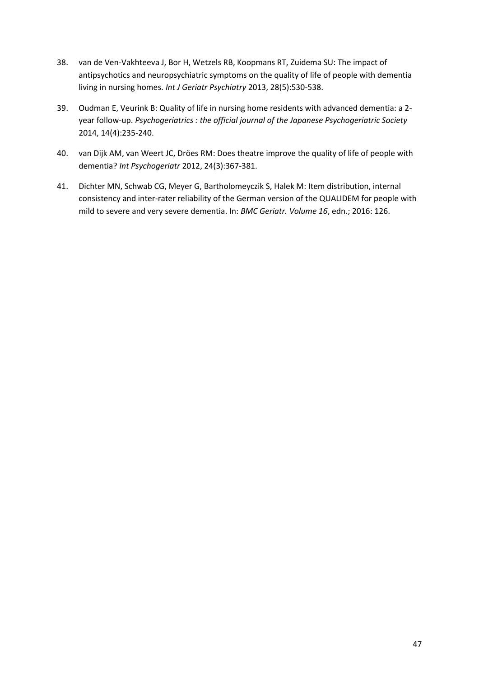- <span id="page-46-0"></span>38. van de Ven-Vakhteeva J, Bor H, Wetzels RB, Koopmans RT, Zuidema SU: The impact of antipsychotics and neuropsychiatric symptoms on the quality of life of people with dementia living in nursing homes. *Int J Geriatr Psychiatry* 2013, 28(5):530-538.
- <span id="page-46-1"></span>39. Oudman E, Veurink B: Quality of life in nursing home residents with advanced dementia: a 2 year follow-up. *Psychogeriatrics : the official journal of the Japanese Psychogeriatric Society*  2014, 14(4):235-240.
- <span id="page-46-2"></span>40. van Dijk AM, van Weert JC, Dröes RM: Does theatre improve the quality of life of people with dementia? *Int Psychogeriatr* 2012, 24(3):367-381.
- <span id="page-46-3"></span>41. Dichter MN, Schwab CG, Meyer G, Bartholomeyczik S, Halek M: Item distribution, internal consistency and inter-rater reliability of the German version of the QUALIDEM for people with mild to severe and very severe dementia. In: *BMC Geriatr. Volume 16*, edn.; 2016: 126.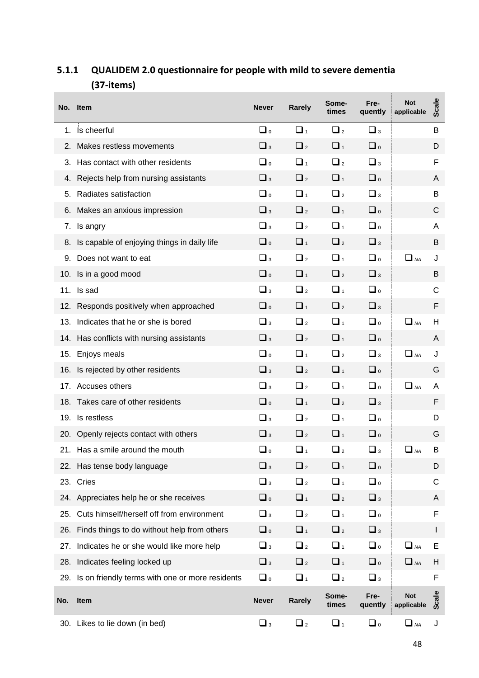| No. | <b>Item</b>                                     | <b>Never</b>        | <b>Rarely</b>       | Some-<br>times      | Fre-<br>quently     | <b>Not</b><br>applicable | <b>Scale</b> |
|-----|-------------------------------------------------|---------------------|---------------------|---------------------|---------------------|--------------------------|--------------|
| 1.  | Is cheerful                                     | $\Box$              | $\Box$ <sub>1</sub> | $\Box$ <sub>2</sub> | $\Box$ <sub>3</sub> |                          | В            |
| 2.  | Makes restless movements                        | $\Box$ <sub>3</sub> | $\Box$ <sub>2</sub> | $\Box$ <sub>1</sub> | $\Box$              |                          | D            |
| 3.  | Has contact with other residents                | $\Box$              | $\Box$ <sub>1</sub> | $\Box$ <sub>2</sub> | $\Box$ <sub>3</sub> |                          | F            |
| 4.  | Rejects help from nursing assistants            | $\Box$ <sub>3</sub> | $\Box$ <sub>2</sub> | $\Box$ <sub>1</sub> | $\Box$              |                          | A            |
| 5.  | Radiates satisfaction                           | $\Box$              | $\Box$ <sub>1</sub> | $\Box$ <sub>2</sub> | $\Box$ <sub>3</sub> |                          | В            |
| 6.  | Makes an anxious impression                     | $\Box$ <sub>3</sub> | $\Box$ <sub>2</sub> | $\Box$ <sub>1</sub> | $\Box$              |                          | C            |
| 7.  | Is angry                                        | $\Box$ <sub>3</sub> | $\Box$ <sub>2</sub> | $\Box$ <sub>1</sub> | $\Box$              |                          | Α            |
| 8.  | Is capable of enjoying things in daily life     | $\Box$              | $\Box$ <sub>1</sub> | $\Box$ <sub>2</sub> | $\Box$ <sub>3</sub> |                          | В            |
| 9.  | Does not want to eat                            | $\Box$ <sub>3</sub> | $\Box$ <sub>2</sub> | $\Box$ <sub>1</sub> | $\Box$              | $\Box$ NA                | J            |
|     | 10. Is in a good mood                           | $\Box$              | $\Box$ <sub>1</sub> | $\Box$ <sub>2</sub> | $\Box$ <sub>3</sub> |                          | В            |
| 11. | Is sad                                          | $\Box$ <sub>3</sub> | $\Box$ <sub>2</sub> | $\Box$ <sub>1</sub> | $\Box$              |                          | С            |
| 12. | Responds positively when approached             | $\Box$              | $\Box$ <sub>1</sub> | $\Box$ <sub>2</sub> | $\Box$ <sub>3</sub> |                          | F            |
| 13. | Indicates that he or she is bored               | $\Box$ <sub>3</sub> | $\Box$ <sub>2</sub> | $\Box$ <sub>1</sub> | $\Box$              | $\Box$ $_{NA}$           | H            |
|     | 14. Has conflicts with nursing assistants       | $\Box$ <sub>3</sub> | $\Box$ <sub>2</sub> | $\Box$ <sub>1</sub> | $\Box$              |                          | A            |
| 15. | Enjoys meals                                    | $\Box$              | $\Box$ <sub>1</sub> | $\Box$ <sub>2</sub> | $\Box$ <sub>3</sub> | $\Box$ NA                | J            |
| 16. | Is rejected by other residents                  | $\Box$ <sub>3</sub> | $\Box$ <sub>2</sub> | $\Box$ <sub>1</sub> | $\Box$              |                          | G            |
| 17. | Accuses others                                  | $\Box$ <sub>3</sub> | $\Box$ <sub>2</sub> | $\Box$ <sub>1</sub> | $\Box$              | $\Box$ $_{NA}$           | A            |
|     | 18. Takes care of other residents               | $\Box$              | $\Box$ <sub>1</sub> | $\Box$ <sub>2</sub> | $\Box$ <sub>3</sub> |                          | F            |
| 19. | Is restless                                     | $\Box$ <sub>3</sub> | $\Box$ <sub>2</sub> | $\Box$ <sub>1</sub> | $\Box$              |                          | D            |
|     | 20. Openly rejects contact with others          | $\Box$ <sub>3</sub> | $\Box$ <sub>2</sub> | $\Box$ <sub>1</sub> | $\Box$              |                          | G            |
|     | 21. Has a smile around the mouth                | $\square$ o         | $\Box$ 1            | $\Box$ <sub>2</sub> | $\Box$ <sub>3</sub> | $\Box$ $NA$              | Β            |
|     | 22. Has tense body language                     | $\Box$ <sub>3</sub> | $\Box$ <sub>2</sub> | $\Box$ <sub>1</sub> | $\Box$              |                          | D            |
|     | 23. Cries                                       | $\Box$ <sub>3</sub> | $\Box$ <sub>2</sub> | $\Box$ <sub>1</sub> | $\Box$              |                          | $\mathsf{C}$ |
| 24. | Appreciates help he or she receives             | $\Box$              | $\Box$ <sub>1</sub> | $\Box$ <sub>2</sub> | $\Box$ <sub>3</sub> |                          | A            |
| 25. | Cuts himself/herself off from environment       | $\Box$ <sub>3</sub> | $\Box$ <sub>2</sub> | $\Box$ <sub>1</sub> | $\Box$              |                          | F            |
| 26. | Finds things to do without help from others     | $\Box$              | $\Box$ <sub>1</sub> | $\Box$ <sub>2</sub> | $\Box$ <sub>3</sub> |                          | L            |
| 27. | Indicates he or she would like more help        | $\Box$ <sub>3</sub> | $\Box$ <sub>2</sub> | $\Box$ <sub>1</sub> | $\Box$              | $\Box$ $NA$              | Е            |
| 28. | Indicates feeling locked up                     | $\Box$ <sub>3</sub> | $\Box$ <sub>2</sub> | $\Box$ <sub>1</sub> | $\Box$              | $\Box$ NA                | Н            |
| 29. | Is on friendly terms with one or more residents | $\Box$              | $\Box$ <sub>1</sub> | $\Box$ <sub>2</sub> | $\Box$ <sub>3</sub> |                          | F            |
| No. | Item                                            | <b>Never</b>        | Rarely              | Some-<br>times      | Fre-<br>quently     | <b>Not</b><br>applicable | Scale        |
|     | 30. Likes to lie down (in bed)                  | $\Box$ <sub>3</sub> | $\Box$ <sub>2</sub> | $\Box$ <sub>1</sub> | $\Box$              | $\Box$ $_{NA}$           | J            |

# <span id="page-47-0"></span>**5.1.1 QUALIDEM 2.0 questionnaire for people with mild to severe dementia (37-items)**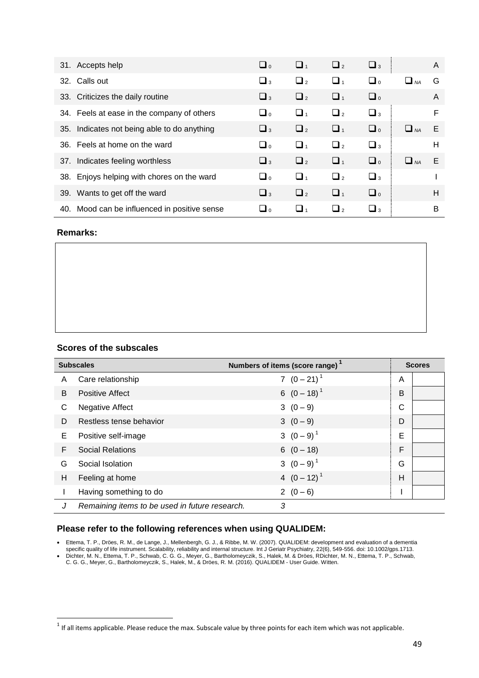| 31. Accepts help                             | $\Box$              | $\Box$              | $\Box$              | $\Box$ <sub>3</sub> |                | A |
|----------------------------------------------|---------------------|---------------------|---------------------|---------------------|----------------|---|
| 32. Calls out                                | $\Box$ <sub>3</sub> | $\Box$ <sub>2</sub> | $\Box$ <sub>1</sub> | $\Box$              | $\Box$ $_{NA}$ | G |
| 33. Criticizes the daily routine             | $\Box$ <sub>3</sub> | $\Box$ <sub>2</sub> | $\Box$              | $\Box$              |                | A |
| 34. Feels at ease in the company of others   | ه آسا               | $\Box$              | $\Box$              | $\Box$ <sub>3</sub> |                | F |
| 35. Indicates not being able to do anything  | $\Box$ <sub>3</sub> | $\Box$              | $\Box$ <sub>1</sub> | $\Box$              | $\Box$ $_{NA}$ | E |
| 36. Feels at home on the ward                | $\Box$              | $\Box$              | $\Box$              | $\Box$ <sub>3</sub> |                | H |
| 37. Indicates feeling worthless              | $\Box$ <sub>3</sub> | $\Box$              | $\Box$ <sub>1</sub> | $\Box$              | $\Box$ NA      | Е |
| 38. Enjoys helping with chores on the ward   | $\Box$              | $\Box$              | $\Box$              | $\Box$ <sub>3</sub> |                |   |
| 39. Wants to get off the ward                | $\Box$ <sub>3</sub> | $\Box$ <sub>2</sub> | $\Box$              | $\Box$              |                | H |
| 40. Mood can be influenced in positive sense | ہ اسا               | ∟ 1                 | $\Box$ <sub>2</sub> | $\Box$ 3            |                | B |

#### **Remarks:**

#### **Scores of the subscales**

| <b>Subscales</b> |                                                | Numbers of items (score range) |   | <b>Scores</b> |
|------------------|------------------------------------------------|--------------------------------|---|---------------|
| A                | Care relationship                              | 7 $(0-21)^1$                   | A |               |
| B                | <b>Positive Affect</b>                         | 6 $(0-18)^1$                   | B |               |
| C                | <b>Negative Affect</b>                         | $3(0-9)$                       | C |               |
| D                | Restless tense behavior                        | $3(0-9)$                       | D |               |
| Е                | Positive self-image                            | 3 $(0-9)^1$                    | E |               |
| F                | <b>Social Relations</b>                        | $6(0-18)$                      | F |               |
| G                | Social Isolation                               | 3 $(0-9)^1$                    | G |               |
| H                | Feeling at home                                | 4 $(0-12)^1$                   | Н |               |
|                  | Having something to do                         | $2(0-6)$                       |   |               |
| J                | Remaining items to be used in future research. | 3                              |   |               |

#### **Please refer to the following references when using QUALIDEM:**

- Ettema, T. P., Dröes, R. M., de Lange, J., Mellenbergh, G. J., & Ribbe, M. W. (2007). QUALIDEM: development and evaluation of a dementia specific quality of life instrument. Scalability, reliability and internal structure. Int J Geriatr Psychiatry, 22(6), 549-556. doi: 10.1002/gps.1713.
- Dichter, M. N., Ettema, T. P., Schwab, C. G. G., Meyer, G., Bartholomeyczik, S., Halek, M. & Dröes, RDichter, M. N., Ettema, T. P., Schwab, C. G. G., Meyer, G., Bartholomeyczik, S., Halek, M., & Dröes, R. M. (2016). QUALIDEM - User Guide. Witten.

 1 If all items applicable. Please reduce the max. Subscale value by three points for each item which was not applicable.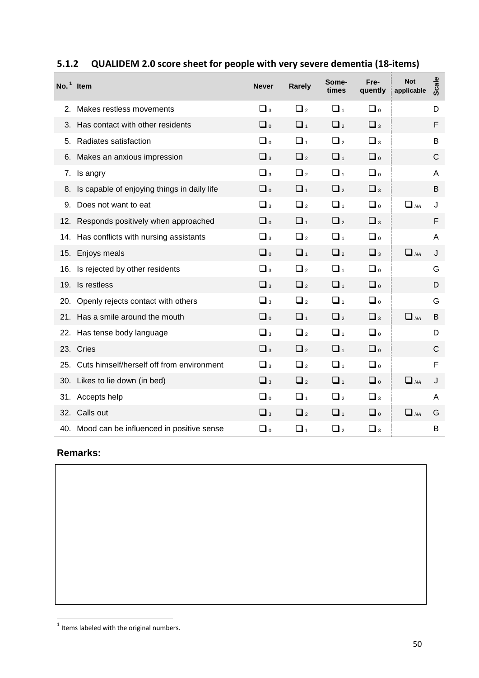|     | $No.1$ Item                                  | <b>Never</b>        | Rarely              | Some-<br>times      | Fre-<br>quently     | <b>Not</b><br>applicable | <b>Scale</b> |
|-----|----------------------------------------------|---------------------|---------------------|---------------------|---------------------|--------------------------|--------------|
| 2.  | Makes restless movements                     | $\Box$ <sub>3</sub> | $\Box$ <sub>2</sub> | $\Box$ <sub>1</sub> | $\Box$              |                          | D            |
| 3.  | Has contact with other residents             | $\Box$              | $\Box$ <sub>1</sub> | $\Box$ <sub>2</sub> | $\Box$ <sub>3</sub> |                          | F            |
| 5.  | Radiates satisfaction                        | $\Box$              | $\Box$ <sub>1</sub> | $\Box$ <sub>2</sub> | $\Box$ <sub>3</sub> |                          | В            |
| 6.  | Makes an anxious impression                  | $\Box$ <sub>3</sub> | $\Box$ <sub>2</sub> | $\Box$ <sub>1</sub> | $\Box$              |                          | С            |
| 7.  | Is angry                                     | $\Box$ <sub>3</sub> | $\Box$ <sub>2</sub> | $\Box$ <sub>1</sub> | $\Box$              |                          | A            |
| 8.  | Is capable of enjoying things in daily life  | $\Box$              | $\Box$ <sub>1</sub> | $\Box$ <sub>2</sub> | $\Box$ <sub>3</sub> |                          | B            |
| 9.  | Does not want to eat                         | $\Box$ <sub>3</sub> | $\Box$ <sub>2</sub> | $\Box$              | $\Box$              | $\Box$ NA                | J            |
| 12. | Responds positively when approached          | $\Box$              | $\Box$ <sub>1</sub> | $\Box$ <sub>2</sub> | $\Box$ <sub>3</sub> |                          | F            |
| 14. | Has conflicts with nursing assistants        | $\Box$ <sub>3</sub> | $\Box$ <sub>2</sub> | $\Box$ <sub>1</sub> | $\Box$              |                          | A            |
| 15. | Enjoys meals                                 | $\Box$              | $\Box$ <sub>1</sub> | $\Box$ <sub>2</sub> | $\Box$ <sub>3</sub> | $\Box$ NA                | J            |
| 16. | Is rejected by other residents               | $\Box$              | $\Box$ <sub>2</sub> | $\Box$              | $\Box$              |                          | G            |
| 19. | Is restless                                  | $\Box$ <sub>3</sub> | $\Box$ <sub>2</sub> | $\Box$ <sub>1</sub> | $\Box$              |                          | D            |
| 20. | Openly rejects contact with others           | $\Box$              | $\Box$ <sub>2</sub> | $\Box$ <sub>1</sub> | $\Box$              |                          | G            |
| 21. | Has a smile around the mouth                 | $\Box$              | $\Box$ <sub>1</sub> | $\Box$ <sub>2</sub> | $\Box$ <sub>3</sub> | $\Box$ NA                | B            |
| 22. | Has tense body language                      | $\Box$              | $\Box$ <sub>2</sub> | $\Box$              | $\Box$              |                          | D            |
|     | 23. Cries                                    | $\Box$              | $\Box$ <sub>2</sub> | $\Box$ <sub>1</sub> | $\Box$              |                          | С            |
| 25. | Cuts himself/herself off from environment    | $\Box$              | $\Box$ <sub>2</sub> | $\Box$ <sub>1</sub> | $\Box$              |                          | F            |
|     | 30. Likes to lie down (in bed)               | $\Box$              | $\Box$ <sub>2</sub> | $\Box$ <sub>1</sub> | $\Box$              | $\Box$ NA                | J            |
| 31. | Accepts help                                 | $\Box$              | $\Box$ <sub>1</sub> | $\Box$ <sub>2</sub> | $\Box$ <sub>3</sub> |                          | Α            |
|     | 32. Calls out                                | $\Box$              | $\Box$ <sub>2</sub> | $\Box$ <sub>1</sub> | $\Box$              | $\Box$ NA                | G            |
|     | 40. Mood can be influenced in positive sense | $\Box$              | $\Box$ <sub>1</sub> | $\Box$ <sub>2</sub> | $\Box$ <sub>3</sub> |                          | B            |

# <span id="page-49-0"></span>**5.1.2 QUALIDEM 2.0 score sheet for people with very severe dementia (18-items)**

### **Remarks:**

**THE CONSTREE**<br>Thems labeled with the original numbers.